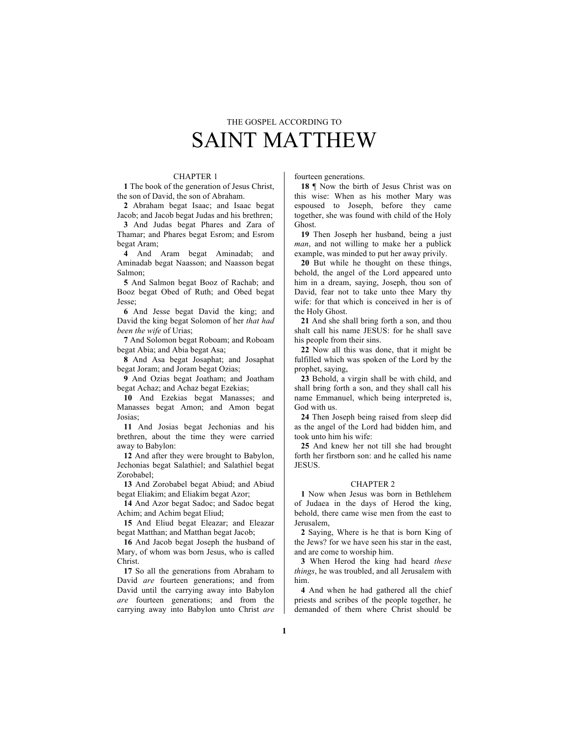# THE GOSPEL ACCORDING TO SAINT MATTHEW

### CHAPTER 1

**1** The book of the generation of Jesus Christ, the son of David, the son of Abraham.

**2** Abraham begat Isaac; and Isaac begat Jacob; and Jacob begat Judas and his brethren;

**3** And Judas begat Phares and Zara of Thamar; and Phares begat Esrom; and Esrom begat Aram;

**4** And Aram begat Aminadab; and Aminadab begat Naasson; and Naasson begat Salmon;

**5** And Salmon begat Booz of Rachab; and Booz begat Obed of Ruth; and Obed begat Jesse;

**6** And Jesse begat David the king; and David the king begat Solomon of her *that had been the wife* of Urias;

**7** And Solomon begat Roboam; and Roboam begat Abia; and Abia begat Asa;

**8** And Asa begat Josaphat; and Josaphat begat Joram; and Joram begat Ozias;

**9** And Ozias begat Joatham; and Joatham begat Achaz; and Achaz begat Ezekias;

**10** And Ezekias begat Manasses; and Manasses begat Amon; and Amon begat Josias;

**11** And Josias begat Jechonias and his brethren, about the time they were carried away to Babylon:

**12** And after they were brought to Babylon, Jechonias begat Salathiel; and Salathiel begat Zorobabel;

**13** And Zorobabel begat Abiud; and Abiud begat Eliakim; and Eliakim begat Azor;

**14** And Azor begat Sadoc; and Sadoc begat Achim; and Achim begat Eliud;

**15** And Eliud begat Eleazar; and Eleazar begat Matthan; and Matthan begat Jacob;

**16** And Jacob begat Joseph the husband of Mary, of whom was born Jesus, who is called Christ.

**17** So all the generations from Abraham to David *are* fourteen generations; and from David until the carrying away into Babylon *are* fourteen generations; and from the carrying away into Babylon unto Christ *are*

fourteen generations.

**18** ¶ Now the birth of Jesus Christ was on this wise: When as his mother Mary was espoused to Joseph, before they came together, she was found with child of the Holy Ghost.

**19** Then Joseph her husband, being a just *man*, and not willing to make her a publick example, was minded to put her away privily.

**20** But while he thought on these things, behold, the angel of the Lord appeared unto him in a dream, saying, Joseph, thou son of David, fear not to take unto thee Mary thy wife: for that which is conceived in her is of the Holy Ghost.

**21** And she shall bring forth a son, and thou shalt call his name JESUS: for he shall save his people from their sins.

**22** Now all this was done, that it might be fulfilled which was spoken of the Lord by the prophet, saying,

**23** Behold, a virgin shall be with child, and shall bring forth a son, and they shall call his name Emmanuel, which being interpreted is, God with us.

**24** Then Joseph being raised from sleep did as the angel of the Lord had bidden him, and took unto him his wife:

**25** And knew her not till she had brought forth her firstborn son: and he called his name JESUS.

#### CHAPTER 2

**1** Now when Jesus was born in Bethlehem of Judaea in the days of Herod the king, behold, there came wise men from the east to Jerusalem,

**2** Saying, Where is he that is born King of the Jews? for we have seen his star in the east, and are come to worship him.

**3** When Herod the king had heard *these things*, he was troubled, and all Jerusalem with him.

**4** And when he had gathered all the chief priests and scribes of the people together, he demanded of them where Christ should be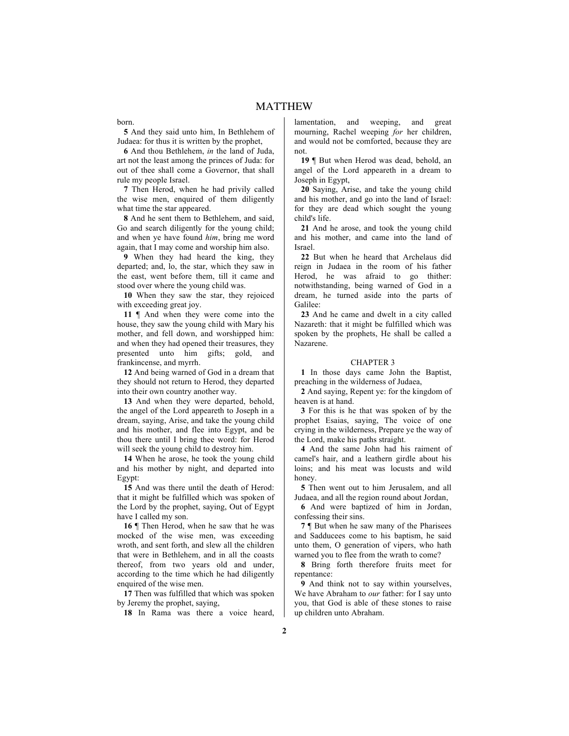born.

**5** And they said unto him, In Bethlehem of Judaea: for thus it is written by the prophet,

**6** And thou Bethlehem, *in* the land of Juda, art not the least among the princes of Juda: for out of thee shall come a Governor, that shall rule my people Israel.

**7** Then Herod, when he had privily called the wise men, enquired of them diligently what time the star appeared.

**8** And he sent them to Bethlehem, and said, Go and search diligently for the young child; and when ye have found *him*, bring me word again, that I may come and worship him also.

**9** When they had heard the king, they departed; and, lo, the star, which they saw in the east, went before them, till it came and stood over where the young child was.

**10** When they saw the star, they rejoiced with exceeding great joy.

**11** ¶ And when they were come into the house, they saw the young child with Mary his mother, and fell down, and worshipped him: and when they had opened their treasures, they presented unto him gifts; gold, and frankincense, and myrrh.

**12** And being warned of God in a dream that they should not return to Herod, they departed into their own country another way.

**13** And when they were departed, behold, the angel of the Lord appeareth to Joseph in a dream, saying, Arise, and take the young child and his mother, and flee into Egypt, and be thou there until I bring thee word: for Herod will seek the young child to destroy him.

**14** When he arose, he took the young child and his mother by night, and departed into Egypt:

**15** And was there until the death of Herod: that it might be fulfilled which was spoken of the Lord by the prophet, saying, Out of Egypt have I called my son.

**16** ¶ Then Herod, when he saw that he was mocked of the wise men, was exceeding wroth, and sent forth, and slew all the children that were in Bethlehem, and in all the coasts thereof, from two years old and under, according to the time which he had diligently enquired of the wise men.

**17** Then was fulfilled that which was spoken by Jeremy the prophet, saying,

**18** In Rama was there a voice heard,

lamentation, and weeping, and great mourning, Rachel weeping *for* her children, and would not be comforted, because they are not.

**19** ¶ But when Herod was dead, behold, an angel of the Lord appeareth in a dream to Joseph in Egypt,

**20** Saying, Arise, and take the young child and his mother, and go into the land of Israel: for they are dead which sought the young child's life.

**21** And he arose, and took the young child and his mother, and came into the land of Israel.

**22** But when he heard that Archelaus did reign in Judaea in the room of his father Herod, he was afraid to go thither: notwithstanding, being warned of God in a dream, he turned aside into the parts of Galilee:

**23** And he came and dwelt in a city called Nazareth: that it might be fulfilled which was spoken by the prophets, He shall be called a Nazarene.

#### CHAPTER 3

**1** In those days came John the Baptist, preaching in the wilderness of Judaea,

**2** And saying, Repent ye: for the kingdom of heaven is at hand.

**3** For this is he that was spoken of by the prophet Esaias, saying, The voice of one crying in the wilderness, Prepare ye the way of the Lord, make his paths straight.

**4** And the same John had his raiment of camel's hair, and a leathern girdle about his loins; and his meat was locusts and wild honey.

**5** Then went out to him Jerusalem, and all Judaea, and all the region round about Jordan,

**6** And were baptized of him in Jordan, confessing their sins.

**7** ¶ But when he saw many of the Pharisees and Sadducees come to his baptism, he said unto them, O generation of vipers, who hath warned you to flee from the wrath to come?

**8** Bring forth therefore fruits meet for repentance:

**9** And think not to say within yourselves, We have Abraham to *our* father: for I say unto you, that God is able of these stones to raise up children unto Abraham.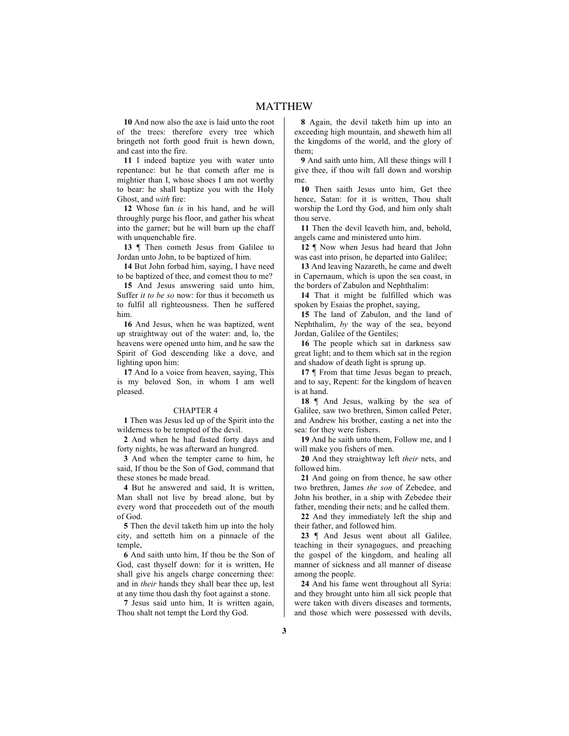**10** And now also the axe is laid unto the root of the trees: therefore every tree which bringeth not forth good fruit is hewn down, and cast into the fire.

**11** I indeed baptize you with water unto repentance: but he that cometh after me is mightier than I, whose shoes I am not worthy to bear: he shall baptize you with the Holy Ghost, and *with* fire:

**12** Whose fan *is* in his hand, and he will throughly purge his floor, and gather his wheat into the garner; but he will burn up the chaff with unquenchable fire.

**13** ¶ Then cometh Jesus from Galilee to Jordan unto John, to be baptized of him.

**14** But John forbad him, saying, I have need to be baptized of thee, and comest thou to me?

**15** And Jesus answering said unto him, Suffer *it to be so* now: for thus it becometh us to fulfil all righteousness. Then he suffered him.

**16** And Jesus, when he was baptized, went up straightway out of the water: and, lo, the heavens were opened unto him, and he saw the Spirit of God descending like a dove, and lighting upon him:

**17** And lo a voice from heaven, saying, This is my beloved Son, in whom I am well pleased.

#### CHAPTER 4

**1** Then was Jesus led up of the Spirit into the wilderness to be tempted of the devil.

**2** And when he had fasted forty days and forty nights, he was afterward an hungred.

**3** And when the tempter came to him, he said, If thou be the Son of God, command that these stones be made bread.

**4** But he answered and said, It is written, Man shall not live by bread alone, but by every word that proceedeth out of the mouth of God.

**5** Then the devil taketh him up into the holy city, and setteth him on a pinnacle of the temple,

**6** And saith unto him, If thou be the Son of God, cast thyself down: for it is written, He shall give his angels charge concerning thee: and in *their* hands they shall bear thee up, lest at any time thou dash thy foot against a stone.

**7** Jesus said unto him, It is written again, Thou shalt not tempt the Lord thy God.

**8** Again, the devil taketh him up into an exceeding high mountain, and sheweth him all the kingdoms of the world, and the glory of them;

**9** And saith unto him, All these things will I give thee, if thou wilt fall down and worship me.

**10** Then saith Jesus unto him, Get thee hence, Satan: for it is written, Thou shalt worship the Lord thy God, and him only shalt thou serve.

**11** Then the devil leaveth him, and, behold, angels came and ministered unto him.

**12** ¶ Now when Jesus had heard that John was cast into prison, he departed into Galilee;

**13** And leaving Nazareth, he came and dwelt in Capernaum, which is upon the sea coast, in the borders of Zabulon and Nephthalim:

**14** That it might be fulfilled which was spoken by Esaias the prophet, saying,

**15** The land of Zabulon, and the land of Nephthalim, *by* the way of the sea, beyond Jordan, Galilee of the Gentiles;

**16** The people which sat in darkness saw great light; and to them which sat in the region and shadow of death light is sprung up.

**17 [** From that time Jesus began to preach, and to say, Repent: for the kingdom of heaven is at hand.

**18** ¶ And Jesus, walking by the sea of Galilee, saw two brethren, Simon called Peter, and Andrew his brother, casting a net into the sea: for they were fishers.

**19** And he saith unto them, Follow me, and I will make you fishers of men.

**20** And they straightway left *their* nets, and followed him.

**21** And going on from thence, he saw other two brethren, James *the son* of Zebedee, and John his brother, in a ship with Zebedee their father, mending their nets; and he called them.

**22** And they immediately left the ship and their father, and followed him.

**23** ¶ And Jesus went about all Galilee, teaching in their synagogues, and preaching the gospel of the kingdom, and healing all manner of sickness and all manner of disease among the people.

**24** And his fame went throughout all Syria: and they brought unto him all sick people that were taken with divers diseases and torments, and those which were possessed with devils,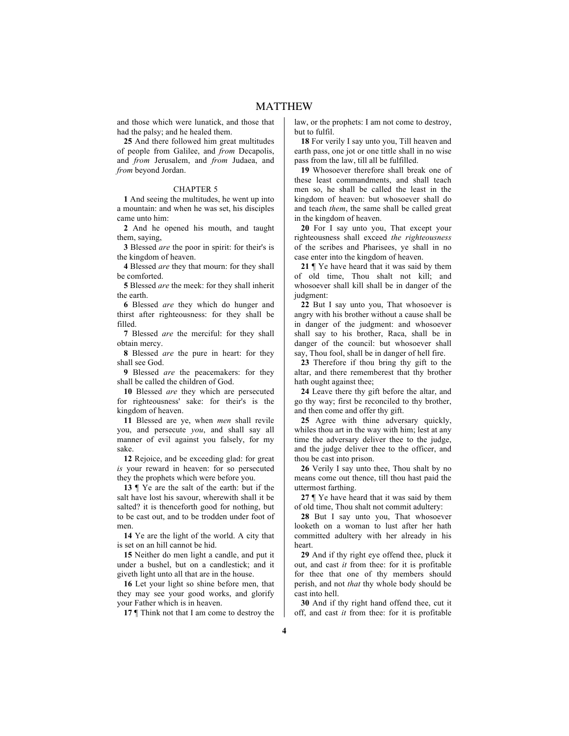and those which were lunatick, and those that had the palsy; and he healed them.

**25** And there followed him great multitudes of people from Galilee, and *from* Decapolis, and *from* Jerusalem, and *from* Judaea, and *from* beyond Jordan.

### CHAPTER 5

**1** And seeing the multitudes, he went up into a mountain: and when he was set, his disciples came unto him:

**2** And he opened his mouth, and taught them, saying,

**3** Blessed *are* the poor in spirit: for their's is the kingdom of heaven.

**4** Blessed *are* they that mourn: for they shall be comforted.

**5** Blessed *are* the meek: for they shall inherit the earth.

**6** Blessed *are* they which do hunger and thirst after righteousness: for they shall be filled.

**7** Blessed *are* the merciful: for they shall obtain mercy.

**8** Blessed *are* the pure in heart: for they shall see God.

**9** Blessed *are* the peacemakers: for they shall be called the children of God.

**10** Blessed *are* they which are persecuted for righteousness' sake: for their's is the kingdom of heaven.

**11** Blessed are ye, when *men* shall revile you, and persecute *you*, and shall say all manner of evil against you falsely, for my sake.

**12** Rejoice, and be exceeding glad: for great *is* your reward in heaven: for so persecuted they the prophets which were before you.

**13** ¶ Ye are the salt of the earth: but if the salt have lost his savour, wherewith shall it be salted? it is thenceforth good for nothing, but to be cast out, and to be trodden under foot of men.

**14** Ye are the light of the world. A city that is set on an hill cannot be hid.

**15** Neither do men light a candle, and put it under a bushel, but on a candlestick; and it giveth light unto all that are in the house.

**16** Let your light so shine before men, that they may see your good works, and glorify your Father which is in heaven.

**17** ¶ Think not that I am come to destroy the

law, or the prophets: I am not come to destroy, but to fulfil.

**18** For verily I say unto you, Till heaven and earth pass, one jot or one tittle shall in no wise pass from the law, till all be fulfilled.

**19** Whosoever therefore shall break one of these least commandments, and shall teach men so, he shall be called the least in the kingdom of heaven: but whosoever shall do and teach *them*, the same shall be called great in the kingdom of heaven.

**20** For I say unto you, That except your righteousness shall exceed *the righteousness* of the scribes and Pharisees, ye shall in no case enter into the kingdom of heaven.

**21** ¶ Ye have heard that it was said by them of old time, Thou shalt not kill; and whosoever shall kill shall be in danger of the judgment:

**22** But I say unto you, That whosoever is angry with his brother without a cause shall be in danger of the judgment: and whosoever shall say to his brother, Raca, shall be in danger of the council: but whosoever shall say, Thou fool, shall be in danger of hell fire.

**23** Therefore if thou bring thy gift to the altar, and there rememberest that thy brother hath ought against thee;

**24** Leave there thy gift before the altar, and go thy way; first be reconciled to thy brother, and then come and offer thy gift.

**25** Agree with thine adversary quickly, whiles thou art in the way with him; lest at any time the adversary deliver thee to the judge, and the judge deliver thee to the officer, and thou be cast into prison.

**26** Verily I say unto thee, Thou shalt by no means come out thence, till thou hast paid the uttermost farthing.

**27** ¶ Ye have heard that it was said by them of old time, Thou shalt not commit adultery:

**28** But I say unto you, That whosoever looketh on a woman to lust after her hath committed adultery with her already in his heart.

**29** And if thy right eye offend thee, pluck it out, and cast *it* from thee: for it is profitable for thee that one of thy members should perish, and not *that* thy whole body should be cast into hell.

**30** And if thy right hand offend thee, cut it off, and cast *it* from thee: for it is profitable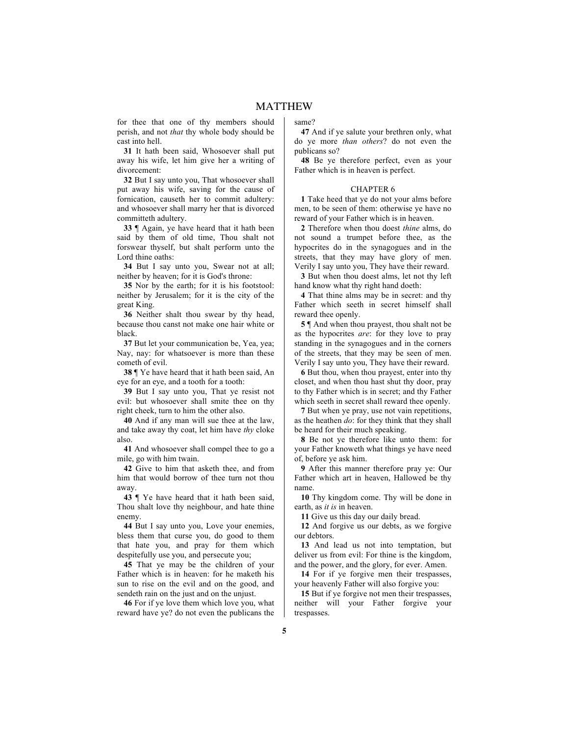for thee that one of thy members should perish, and not *that* thy whole body should be cast into hell.

**31** It hath been said, Whosoever shall put away his wife, let him give her a writing of divorcement:

**32** But I say unto you, That whosoever shall put away his wife, saving for the cause of fornication, causeth her to commit adultery: and whosoever shall marry her that is divorced committeth adultery.

**33** ¶ Again, ye have heard that it hath been said by them of old time, Thou shalt not forswear thyself, but shalt perform unto the Lord thine oaths:

**34** But I say unto you, Swear not at all; neither by heaven; for it is God's throne:

**35** Nor by the earth; for it is his footstool: neither by Jerusalem; for it is the city of the great King.

**36** Neither shalt thou swear by thy head, because thou canst not make one hair white or black.

**37** But let your communication be, Yea, yea; Nay, nay: for whatsoever is more than these cometh of evil.

**38** ¶ Ye have heard that it hath been said, An eye for an eye, and a tooth for a tooth:

**39** But I say unto you, That ye resist not evil: but whosoever shall smite thee on thy right cheek, turn to him the other also.

**40** And if any man will sue thee at the law, and take away thy coat, let him have *thy* cloke also.

**41** And whosoever shall compel thee to go a mile, go with him twain.

**42** Give to him that asketh thee, and from him that would borrow of thee turn not thou away.

**43** ¶ Ye have heard that it hath been said, Thou shalt love thy neighbour, and hate thine enemy.

**44** But I say unto you, Love your enemies, bless them that curse you, do good to them that hate you, and pray for them which despitefully use you, and persecute you;

**45** That ye may be the children of your Father which is in heaven: for he maketh his sun to rise on the evil and on the good, and sendeth rain on the just and on the unjust.

**46** For if ye love them which love you, what reward have ye? do not even the publicans the

same?

**47** And if ye salute your brethren only, what do ye more *than others*? do not even the publicans so?

**48** Be ye therefore perfect, even as your Father which is in heaven is perfect.

### CHAPTER 6

**1** Take heed that ye do not your alms before men, to be seen of them: otherwise ye have no reward of your Father which is in heaven.

**2** Therefore when thou doest *thine* alms, do not sound a trumpet before thee, as the hypocrites do in the synagogues and in the streets, that they may have glory of men. Verily I say unto you, They have their reward.

**3** But when thou doest alms, let not thy left hand know what thy right hand doeth:

**4** That thine alms may be in secret: and thy Father which seeth in secret himself shall reward thee openly.

**5** ¶ And when thou prayest, thou shalt not be as the hypocrites *are*: for they love to pray standing in the synagogues and in the corners of the streets, that they may be seen of men. Verily I say unto you, They have their reward.

**6** But thou, when thou prayest, enter into thy closet, and when thou hast shut thy door, pray to thy Father which is in secret; and thy Father which seeth in secret shall reward thee openly.

**7** But when ye pray, use not vain repetitions, as the heathen *do*: for they think that they shall be heard for their much speaking.

**8** Be not ye therefore like unto them: for your Father knoweth what things ye have need of, before ye ask him.

**9** After this manner therefore pray ye: Our Father which art in heaven, Hallowed be thy name.

**10** Thy kingdom come. Thy will be done in earth, as *it is* in heaven.

**11** Give us this day our daily bread.

**12** And forgive us our debts, as we forgive our debtors.

**13** And lead us not into temptation, but deliver us from evil: For thine is the kingdom, and the power, and the glory, for ever. Amen.

14 For if ye forgive men their trespasses. your heavenly Father will also forgive you:

**15** But if ye forgive not men their trespasses, neither will your Father forgive your trespasses.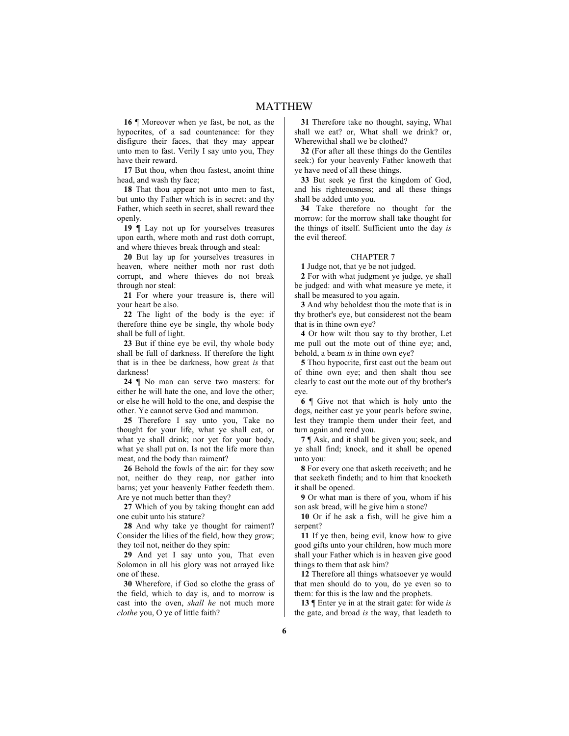**16** ¶ Moreover when ye fast, be not, as the hypocrites, of a sad countenance: for they disfigure their faces, that they may appear unto men to fast. Verily I say unto you, They have their reward.

**17** But thou, when thou fastest, anoint thine head, and wash thy face;

**18** That thou appear not unto men to fast, but unto thy Father which is in secret: and thy Father, which seeth in secret, shall reward thee openly.

**19** ¶ Lay not up for yourselves treasures upon earth, where moth and rust doth corrupt, and where thieves break through and steal:

**20** But lay up for yourselves treasures in heaven, where neither moth nor rust doth corrupt, and where thieves do not break through nor steal:

**21** For where your treasure is, there will your heart be also.

**22** The light of the body is the eye: if therefore thine eye be single, thy whole body shall be full of light.

**23** But if thine eye be evil, thy whole body shall be full of darkness. If therefore the light that is in thee be darkness, how great *is* that darkness!

**24** ¶ No man can serve two masters: for either he will hate the one, and love the other; or else he will hold to the one, and despise the other. Ye cannot serve God and mammon.

**25** Therefore I say unto you, Take no thought for your life, what ye shall eat, or what ye shall drink; nor yet for your body, what ye shall put on. Is not the life more than meat, and the body than raiment?

**26** Behold the fowls of the air: for they sow not, neither do they reap, nor gather into barns; yet your heavenly Father feedeth them. Are ye not much better than they?

**27** Which of you by taking thought can add one cubit unto his stature?

**28** And why take ye thought for raiment? Consider the lilies of the field, how they grow; they toil not, neither do they spin:

**29** And yet I say unto you, That even Solomon in all his glory was not arrayed like one of these.

**30** Wherefore, if God so clothe the grass of the field, which to day is, and to morrow is cast into the oven, *shall he* not much more *clothe* you, O ye of little faith?

**31** Therefore take no thought, saying, What shall we eat? or, What shall we drink? or, Wherewithal shall we be clothed?

**32** (For after all these things do the Gentiles seek:) for your heavenly Father knoweth that ye have need of all these things.

**33** But seek ye first the kingdom of God, and his righteousness; and all these things shall be added unto you.

**34** Take therefore no thought for the morrow: for the morrow shall take thought for the things of itself. Sufficient unto the day *is* the evil thereof.

#### CHAPTER 7

**1** Judge not, that ye be not judged.

**2** For with what judgment ye judge, ye shall be judged: and with what measure ye mete, it shall be measured to you again.

**3** And why beholdest thou the mote that is in thy brother's eye, but considerest not the beam that is in thine own eye?

**4** Or how wilt thou say to thy brother, Let me pull out the mote out of thine eye; and, behold, a beam *is* in thine own eye?

**5** Thou hypocrite, first cast out the beam out of thine own eye; and then shalt thou see clearly to cast out the mote out of thy brother's eye.

**6** ¶ Give not that which is holy unto the dogs, neither cast ye your pearls before swine, lest they trample them under their feet, and turn again and rend you.

**7** ¶ Ask, and it shall be given you; seek, and ye shall find; knock, and it shall be opened unto you:

**8** For every one that asketh receiveth; and he that seeketh findeth; and to him that knocketh it shall be opened.

**9** Or what man is there of you, whom if his son ask bread, will he give him a stone?

**10** Or if he ask a fish, will he give him a serpent?

**11** If ye then, being evil, know how to give good gifts unto your children, how much more shall your Father which is in heaven give good things to them that ask him?

**12** Therefore all things whatsoever ye would that men should do to you, do ye even so to them: for this is the law and the prophets.

**13** ¶ Enter ye in at the strait gate: for wide *is* the gate, and broad *is* the way, that leadeth to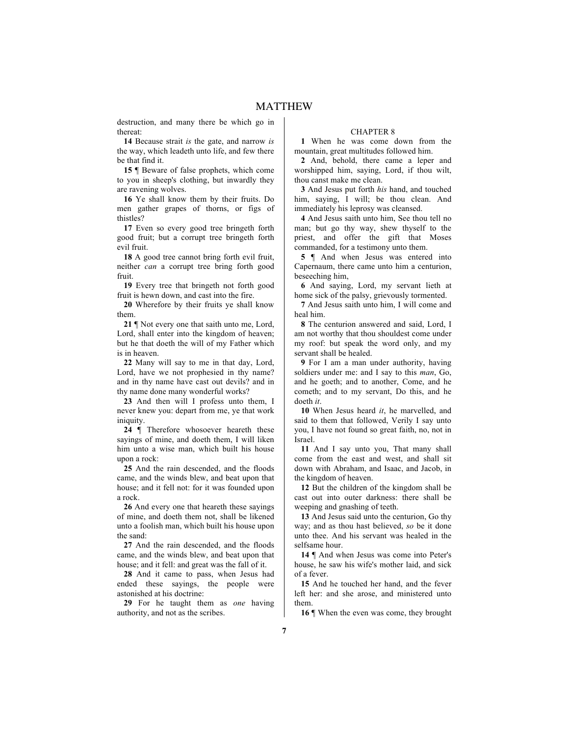destruction, and many there be which go in thereat:

**14** Because strait *is* the gate, and narrow *is* the way, which leadeth unto life, and few there be that find it.

**15** ¶ Beware of false prophets, which come to you in sheep's clothing, but inwardly they are ravening wolves.

**16** Ye shall know them by their fruits. Do men gather grapes of thorns, or figs of thistles?

**17** Even so every good tree bringeth forth good fruit; but a corrupt tree bringeth forth evil fruit.

**18** A good tree cannot bring forth evil fruit, neither *can* a corrupt tree bring forth good fruit.

**19** Every tree that bringeth not forth good fruit is hewn down, and cast into the fire.

**20** Wherefore by their fruits ye shall know them.

**21** ¶ Not every one that saith unto me, Lord, Lord, shall enter into the kingdom of heaven; but he that doeth the will of my Father which is in heaven.

**22** Many will say to me in that day, Lord, Lord, have we not prophesied in thy name? and in thy name have cast out devils? and in thy name done many wonderful works?

**23** And then will I profess unto them, I never knew you: depart from me, ye that work iniquity.

**24** ¶ Therefore whosoever heareth these sayings of mine, and doeth them, I will liken him unto a wise man, which built his house upon a rock:

**25** And the rain descended, and the floods came, and the winds blew, and beat upon that house; and it fell not: for it was founded upon a rock.

**26** And every one that heareth these sayings of mine, and doeth them not, shall be likened unto a foolish man, which built his house upon the sand:

**27** And the rain descended, and the floods came, and the winds blew, and beat upon that house; and it fell: and great was the fall of it.

**28** And it came to pass, when Jesus had ended these sayings, the people were astonished at his doctrine:

**29** For he taught them as *one* having authority, and not as the scribes.

## CHAPTER 8

**1** When he was come down from the mountain, great multitudes followed him.

**2** And, behold, there came a leper and worshipped him, saying, Lord, if thou wilt, thou canst make me clean.

**3** And Jesus put forth *his* hand, and touched him, saying, I will; be thou clean. And immediately his leprosy was cleansed.

**4** And Jesus saith unto him, See thou tell no man; but go thy way, shew thyself to the priest, and offer the gift that Moses commanded, for a testimony unto them.

**5** ¶ And when Jesus was entered into Capernaum, there came unto him a centurion, beseeching him,

**6** And saying, Lord, my servant lieth at home sick of the palsy, grievously tormented.

**7** And Jesus saith unto him, I will come and heal him.

**8** The centurion answered and said, Lord, I am not worthy that thou shouldest come under my roof: but speak the word only, and my servant shall be healed.

**9** For I am a man under authority, having soldiers under me: and I say to this *man*, Go, and he goeth; and to another, Come, and he cometh; and to my servant, Do this, and he doeth *it*.

**10** When Jesus heard *it*, he marvelled, and said to them that followed, Verily I say unto you, I have not found so great faith, no, not in Israel.

**11** And I say unto you, That many shall come from the east and west, and shall sit down with Abraham, and Isaac, and Jacob, in the kingdom of heaven.

**12** But the children of the kingdom shall be cast out into outer darkness: there shall be weeping and gnashing of teeth.

**13** And Jesus said unto the centurion, Go thy way; and as thou hast believed, *so* be it done unto thee. And his servant was healed in the selfsame hour.

**14** ¶ And when Jesus was come into Peter's house, he saw his wife's mother laid, and sick of a fever.

**15** And he touched her hand, and the fever left her: and she arose, and ministered unto them.

16  $\mathbb{I}$  When the even was come, they brought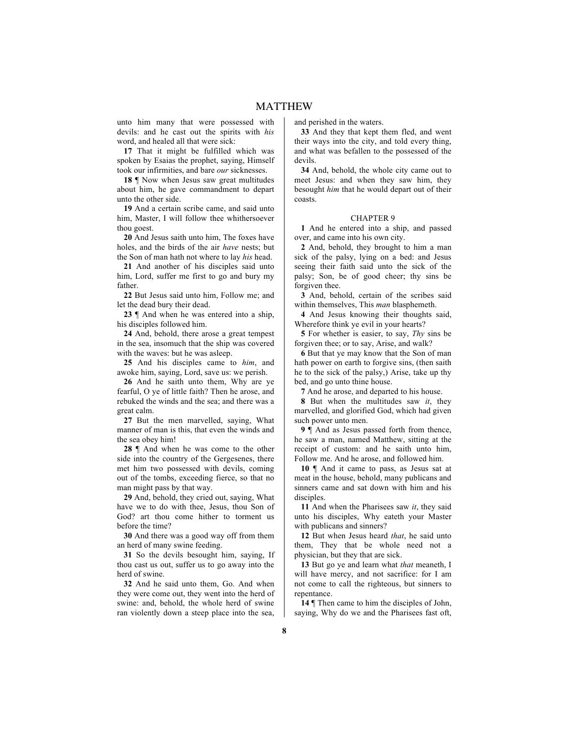unto him many that were possessed with devils: and he cast out the spirits with *his* word, and healed all that were sick:

**17** That it might be fulfilled which was spoken by Esaias the prophet, saying, Himself took our infirmities, and bare *our* sicknesses.

**18** ¶ Now when Jesus saw great multitudes about him, he gave commandment to depart unto the other side.

**19** And a certain scribe came, and said unto him, Master, I will follow thee whithersoever thou goest.

**20** And Jesus saith unto him, The foxes have holes, and the birds of the air *have* nests; but the Son of man hath not where to lay *his* head.

**21** And another of his disciples said unto him, Lord, suffer me first to go and bury my father.

**22** But Jesus said unto him, Follow me; and let the dead bury their dead.

**23** ¶ And when he was entered into a ship, his disciples followed him.

**24** And, behold, there arose a great tempest in the sea, insomuch that the ship was covered with the waves: but he was asleep.

**25** And his disciples came to *him*, and awoke him, saying, Lord, save us: we perish.

**26** And he saith unto them, Why are ye fearful, O ye of little faith? Then he arose, and rebuked the winds and the sea; and there was a great calm.

**27** But the men marvelled, saying, What manner of man is this, that even the winds and the sea obey him!

**28** ¶ And when he was come to the other side into the country of the Gergesenes, there met him two possessed with devils, coming out of the tombs, exceeding fierce, so that no man might pass by that way.

**29** And, behold, they cried out, saying, What have we to do with thee, Jesus, thou Son of God? art thou come hither to torment us before the time?

**30** And there was a good way off from them an herd of many swine feeding.

**31** So the devils besought him, saying, If thou cast us out, suffer us to go away into the herd of swine.

**32** And he said unto them, Go. And when they were come out, they went into the herd of swine: and, behold, the whole herd of swine ran violently down a steep place into the sea, and perished in the waters.

**33** And they that kept them fled, and went their ways into the city, and told every thing, and what was befallen to the possessed of the devils.

**34** And, behold, the whole city came out to meet Jesus: and when they saw him, they besought *him* that he would depart out of their coasts.

#### CHAPTER 9

**1** And he entered into a ship, and passed over, and came into his own city.

**2** And, behold, they brought to him a man sick of the palsy, lying on a bed: and Jesus seeing their faith said unto the sick of the palsy; Son, be of good cheer; thy sins be forgiven thee.

**3** And, behold, certain of the scribes said within themselves, This *man* blasphemeth.

**4** And Jesus knowing their thoughts said, Wherefore think ye evil in your hearts?

**5** For whether is easier, to say, *Thy* sins be forgiven thee; or to say, Arise, and walk?

**6** But that ye may know that the Son of man hath power on earth to forgive sins, (then saith he to the sick of the palsy,) Arise, take up thy bed, and go unto thine house.

**7** And he arose, and departed to his house.

**8** But when the multitudes saw *it*, they marvelled, and glorified God, which had given such power unto men.

**9** ¶ And as Jesus passed forth from thence, he saw a man, named Matthew, sitting at the receipt of custom: and he saith unto him, Follow me. And he arose, and followed him.

**10** ¶ And it came to pass, as Jesus sat at meat in the house, behold, many publicans and sinners came and sat down with him and his disciples.

**11** And when the Pharisees saw *it*, they said unto his disciples, Why eateth your Master with publicans and sinners?

**12** But when Jesus heard *that*, he said unto them, They that be whole need not a physician, but they that are sick.

**13** But go ye and learn what *that* meaneth, I will have mercy, and not sacrifice: for I am not come to call the righteous, but sinners to repentance.

**14** ¶ Then came to him the disciples of John, saying, Why do we and the Pharisees fast oft,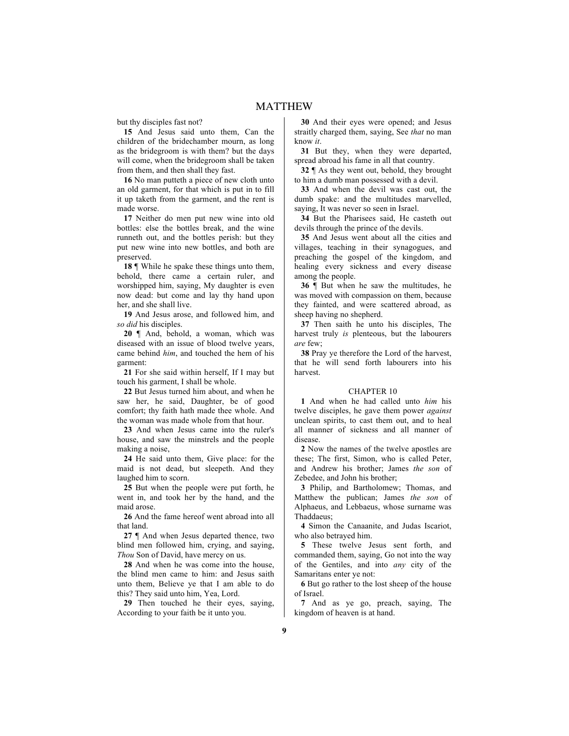but thy disciples fast not?

**15** And Jesus said unto them, Can the children of the bridechamber mourn, as long as the bridegroom is with them? but the days will come, when the bridegroom shall be taken from them, and then shall they fast.

**16** No man putteth a piece of new cloth unto an old garment, for that which is put in to fill it up taketh from the garment, and the rent is made worse.

**17** Neither do men put new wine into old bottles: else the bottles break, and the wine runneth out, and the bottles perish: but they put new wine into new bottles, and both are preserved.

**18** ¶ While he spake these things unto them, behold, there came a certain ruler, and worshipped him, saying, My daughter is even now dead: but come and lay thy hand upon her, and she shall live.

**19** And Jesus arose, and followed him, and *so did* his disciples.

**20** ¶ And, behold, a woman, which was diseased with an issue of blood twelve years, came behind *him*, and touched the hem of his garment:

**21** For she said within herself, If I may but touch his garment, I shall be whole.

**22** But Jesus turned him about, and when he saw her, he said, Daughter, be of good comfort; thy faith hath made thee whole. And the woman was made whole from that hour.

**23** And when Jesus came into the ruler's house, and saw the minstrels and the people making a noise,

**24** He said unto them, Give place: for the maid is not dead, but sleepeth. And they laughed him to scorn.

**25** But when the people were put forth, he went in, and took her by the hand, and the maid arose.

**26** And the fame hereof went abroad into all that land.

**27** ¶ And when Jesus departed thence, two blind men followed him, crying, and saying, *Thou* Son of David, have mercy on us.

**28** And when he was come into the house, the blind men came to him: and Jesus saith unto them, Believe ye that I am able to do this? They said unto him, Yea, Lord.

**29** Then touched he their eyes, saying, According to your faith be it unto you.

**30** And their eyes were opened; and Jesus straitly charged them, saying, See *that* no man know *it*.

**31** But they, when they were departed, spread abroad his fame in all that country.

**32** ¶ As they went out, behold, they brought to him a dumb man possessed with a devil.

**33** And when the devil was cast out, the dumb spake: and the multitudes marvelled, saying, It was never so seen in Israel.

**34** But the Pharisees said, He casteth out devils through the prince of the devils.

**35** And Jesus went about all the cities and villages, teaching in their synagogues, and preaching the gospel of the kingdom, and healing every sickness and every disease among the people.

**36** ¶ But when he saw the multitudes, he was moved with compassion on them, because they fainted, and were scattered abroad, as sheep having no shepherd.

**37** Then saith he unto his disciples, The harvest truly *is* plenteous, but the labourers *are* few;

**38** Pray ye therefore the Lord of the harvest, that he will send forth labourers into his harvest.

### CHAPTER 10

**1** And when he had called unto *him* his twelve disciples, he gave them power *against* unclean spirits, to cast them out, and to heal all manner of sickness and all manner of disease.

**2** Now the names of the twelve apostles are these; The first, Simon, who is called Peter, and Andrew his brother; James *the son* of Zebedee, and John his brother;

**3** Philip, and Bartholomew; Thomas, and Matthew the publican; James *the son* of Alphaeus, and Lebbaeus, whose surname was Thaddaeus;

**4** Simon the Canaanite, and Judas Iscariot, who also betrayed him.

**5** These twelve Jesus sent forth, and commanded them, saying, Go not into the way of the Gentiles, and into *any* city of the Samaritans enter ye not:

**6** But go rather to the lost sheep of the house of Israel.

**7** And as ye go, preach, saying, The kingdom of heaven is at hand.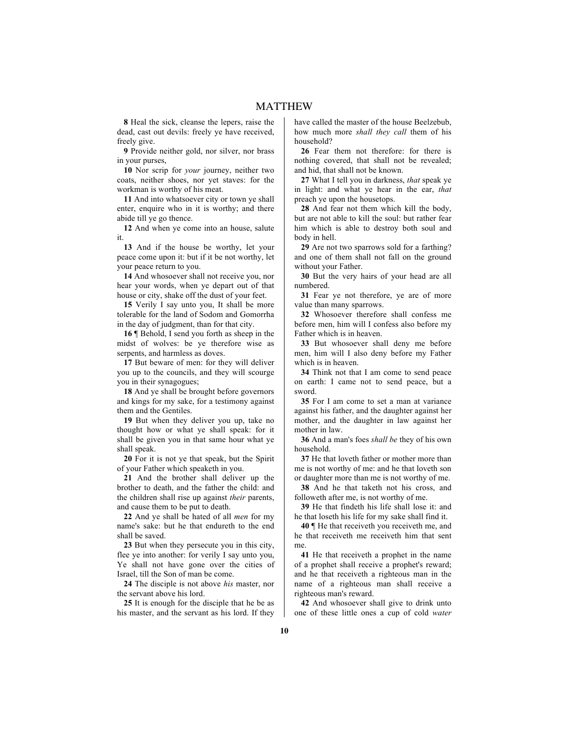**8** Heal the sick, cleanse the lepers, raise the dead, cast out devils: freely ye have received, freely give.

**9** Provide neither gold, nor silver, nor brass in your purses,

**10** Nor scrip for *your* journey, neither two coats, neither shoes, nor yet staves: for the workman is worthy of his meat.

**11** And into whatsoever city or town ye shall enter, enquire who in it is worthy; and there abide till ye go thence.

**12** And when ye come into an house, salute it.

**13** And if the house be worthy, let your peace come upon it: but if it be not worthy, let your peace return to you.

**14** And whosoever shall not receive you, nor hear your words, when ye depart out of that house or city, shake off the dust of your feet.

**15** Verily I say unto you, It shall be more tolerable for the land of Sodom and Gomorrha in the day of judgment, than for that city.

**16** ¶ Behold, I send you forth as sheep in the midst of wolves: be ye therefore wise as serpents, and harmless as doves.

**17** But beware of men: for they will deliver you up to the councils, and they will scourge you in their synagogues;

**18** And ye shall be brought before governors and kings for my sake, for a testimony against them and the Gentiles.

**19** But when they deliver you up, take no thought how or what ye shall speak: for it shall be given you in that same hour what ye shall speak.

**20** For it is not ye that speak, but the Spirit of your Father which speaketh in you.

**21** And the brother shall deliver up the brother to death, and the father the child: and the children shall rise up against *their* parents, and cause them to be put to death.

**22** And ye shall be hated of all *men* for my name's sake: but he that endureth to the end shall be saved.

**23** But when they persecute you in this city, flee ye into another: for verily I say unto you, Ye shall not have gone over the cities of Israel, till the Son of man be come.

**24** The disciple is not above *his* master, nor the servant above his lord.

**25** It is enough for the disciple that he be as his master, and the servant as his lord. If they have called the master of the house Beelzebub, how much more *shall they call* them of his household?

**26** Fear them not therefore: for there is nothing covered, that shall not be revealed; and hid, that shall not be known.

**27** What I tell you in darkness, *that* speak ye in light: and what ye hear in the ear, *that* preach ye upon the housetops.

**28** And fear not them which kill the body, but are not able to kill the soul: but rather fear him which is able to destroy both soul and body in hell.

**29** Are not two sparrows sold for a farthing? and one of them shall not fall on the ground without your Father.

**30** But the very hairs of your head are all numbered.

**31** Fear ye not therefore, ye are of more value than many sparrows.

**32** Whosoever therefore shall confess me before men, him will I confess also before my Father which is in heaven.

**33** But whosoever shall deny me before men, him will I also deny before my Father which is in heaven.

**34** Think not that I am come to send peace on earth: I came not to send peace, but a sword.

**35** For I am come to set a man at variance against his father, and the daughter against her mother, and the daughter in law against her mother in law.

**36** And a man's foes *shall be* they of his own household.

**37** He that loveth father or mother more than me is not worthy of me: and he that loveth son or daughter more than me is not worthy of me.

**38** And he that taketh not his cross, and followeth after me, is not worthy of me.

**39** He that findeth his life shall lose it: and he that loseth his life for my sake shall find it.

**40** ¶ He that receiveth you receiveth me, and he that receiveth me receiveth him that sent me.

**41** He that receiveth a prophet in the name of a prophet shall receive a prophet's reward; and he that receiveth a righteous man in the name of a righteous man shall receive a righteous man's reward.

**42** And whosoever shall give to drink unto one of these little ones a cup of cold *water*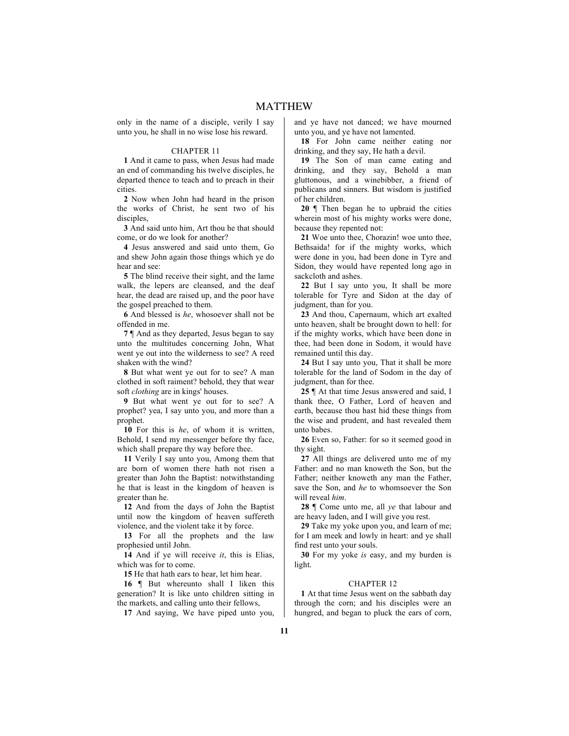only in the name of a disciple, verily I say unto you, he shall in no wise lose his reward.

#### CHAPTER 11

**1** And it came to pass, when Jesus had made an end of commanding his twelve disciples, he departed thence to teach and to preach in their cities.

**2** Now when John had heard in the prison the works of Christ, he sent two of his disciples

**3** And said unto him, Art thou he that should come, or do we look for another?

**4** Jesus answered and said unto them, Go and shew John again those things which ye do hear and see:

**5** The blind receive their sight, and the lame walk, the lepers are cleansed, and the deaf hear, the dead are raised up, and the poor have the gospel preached to them.

**6** And blessed is *he*, whosoever shall not be offended in me.

**7** ¶ And as they departed, Jesus began to say unto the multitudes concerning John, What went ye out into the wilderness to see? A reed shaken with the wind?

**8** But what went ye out for to see? A man clothed in soft raiment? behold, they that wear soft *clothing* are in kings' houses.

**9** But what went ye out for to see? A prophet? yea, I say unto you, and more than a prophet.

**10** For this is *he*, of whom it is written, Behold, I send my messenger before thy face, which shall prepare thy way before thee.

**11** Verily I say unto you, Among them that are born of women there hath not risen a greater than John the Baptist: notwithstanding he that is least in the kingdom of heaven is greater than he.

**12** And from the days of John the Baptist until now the kingdom of heaven suffereth violence, and the violent take it by force.

**13** For all the prophets and the law prophesied until John.

**14** And if ye will receive *it*, this is Elias, which was for to come.

**15** He that hath ears to hear, let him hear.

16 **[** But whereunto shall I liken this generation? It is like unto children sitting in the markets, and calling unto their fellows,

**17** And saying, We have piped unto you,

and ye have not danced; we have mourned unto you, and ye have not lamented.

**18** For John came neither eating nor drinking, and they say, He hath a devil.

**19** The Son of man came eating and drinking, and they say, Behold a man gluttonous, and a winebibber, a friend of publicans and sinners. But wisdom is justified of her children.

**20** ¶ Then began he to upbraid the cities wherein most of his mighty works were done, because they repented not:

**21** Woe unto thee, Chorazin! woe unto thee, Bethsaida! for if the mighty works, which were done in you, had been done in Tyre and Sidon, they would have repented long ago in sackcloth and ashes.

**22** But I say unto you, It shall be more tolerable for Tyre and Sidon at the day of judgment, than for you.

**23** And thou, Capernaum, which art exalted unto heaven, shalt be brought down to hell: for if the mighty works, which have been done in thee, had been done in Sodom, it would have remained until this day.

**24** But I say unto you, That it shall be more tolerable for the land of Sodom in the day of judgment, than for thee.

**25** ¶ At that time Jesus answered and said, I thank thee, O Father, Lord of heaven and earth, because thou hast hid these things from the wise and prudent, and hast revealed them unto babes.

**26** Even so, Father: for so it seemed good in thy sight.

**27** All things are delivered unto me of my Father: and no man knoweth the Son, but the Father; neither knoweth any man the Father, save the Son, and *he* to whomsoever the Son will reveal *him*.

**28** ¶ Come unto me, all *ye* that labour and are heavy laden, and I will give you rest.

**29** Take my yoke upon you, and learn of me; for I am meek and lowly in heart: and ye shall find rest unto your souls.

**30** For my yoke *is* easy, and my burden is light.

#### CHAPTER 12

**1** At that time Jesus went on the sabbath day through the corn; and his disciples were an hungred, and began to pluck the ears of corn,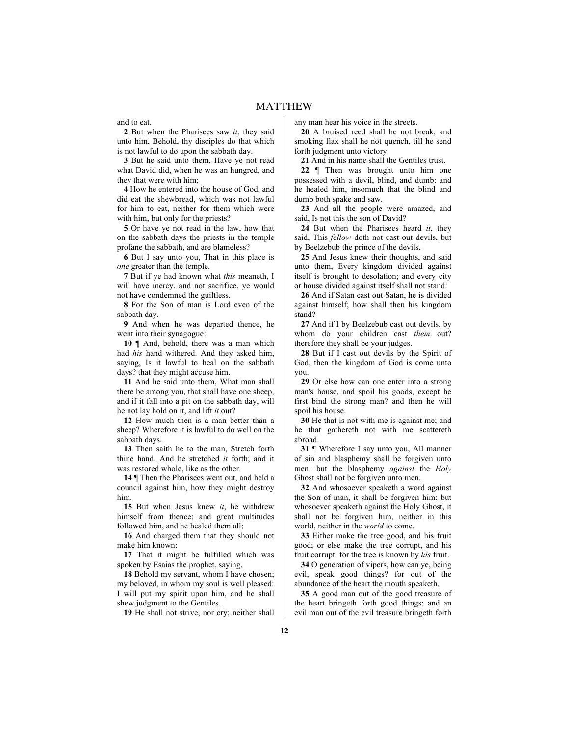and to eat.

**2** But when the Pharisees saw *it*, they said unto him, Behold, thy disciples do that which is not lawful to do upon the sabbath day.

**3** But he said unto them, Have ye not read what David did, when he was an hungred, and they that were with him;

**4** How he entered into the house of God, and did eat the shewbread, which was not lawful for him to eat, neither for them which were with him, but only for the priests?

**5** Or have ye not read in the law, how that on the sabbath days the priests in the temple profane the sabbath, and are blameless?

**6** But I say unto you, That in this place is *one* greater than the temple.

**7** But if ye had known what *this* meaneth, I will have mercy, and not sacrifice, ye would not have condemned the guiltless.

**8** For the Son of man is Lord even of the sabbath day.

**9** And when he was departed thence, he went into their synagogue:

**10** ¶ And, behold, there was a man which had *his* hand withered. And they asked him, saying, Is it lawful to heal on the sabbath days? that they might accuse him.

**11** And he said unto them, What man shall there be among you, that shall have one sheep, and if it fall into a pit on the sabbath day, will he not lay hold on it, and lift *it* out?

**12** How much then is a man better than a sheep? Wherefore it is lawful to do well on the sabbath days.

**13** Then saith he to the man, Stretch forth thine hand. And he stretched *it* forth; and it was restored whole, like as the other.

**14** ¶ Then the Pharisees went out, and held a council against him, how they might destroy him.

**15** But when Jesus knew *it*, he withdrew himself from thence: and great multitudes followed him, and he healed them all;

**16** And charged them that they should not make him known:

**17** That it might be fulfilled which was spoken by Esaias the prophet, saying.

**18** Behold my servant, whom I have chosen; my beloved, in whom my soul is well pleased: I will put my spirit upon him, and he shall shew judgment to the Gentiles.

**19** He shall not strive, nor cry; neither shall

any man hear his voice in the streets.

**20** A bruised reed shall he not break, and smoking flax shall he not quench, till he send forth judgment unto victory.

**21** And in his name shall the Gentiles trust.

**22** ¶ Then was brought unto him one possessed with a devil, blind, and dumb: and he healed him, insomuch that the blind and dumb both spake and saw.

**23** And all the people were amazed, and said, Is not this the son of David?

**24** But when the Pharisees heard *it*, they said, This *fellow* doth not cast out devils, but by Beelzebub the prince of the devils.

**25** And Jesus knew their thoughts, and said unto them, Every kingdom divided against itself is brought to desolation; and every city or house divided against itself shall not stand:

**26** And if Satan cast out Satan, he is divided against himself; how shall then his kingdom stand?

**27** And if I by Beelzebub cast out devils, by whom do your children cast *them* out? therefore they shall be your judges.

**28** But if I cast out devils by the Spirit of God, then the kingdom of God is come unto you.

**29** Or else how can one enter into a strong man's house, and spoil his goods, except he first bind the strong man? and then he will spoil his house.

**30** He that is not with me is against me; and he that gathereth not with me scattereth abroad.

**31** ¶ Wherefore I say unto you, All manner of sin and blasphemy shall be forgiven unto men: but the blasphemy *against* the *Holy* Ghost shall not be forgiven unto men.

**32** And whosoever speaketh a word against the Son of man, it shall be forgiven him: but whosoever speaketh against the Holy Ghost, it shall not be forgiven him, neither in this world, neither in the *world* to come.

**33** Either make the tree good, and his fruit good; or else make the tree corrupt, and his fruit corrupt: for the tree is known by *his* fruit.

**34** O generation of vipers, how can ye, being evil, speak good things? for out of the abundance of the heart the mouth speaketh.

**35** A good man out of the good treasure of the heart bringeth forth good things: and an evil man out of the evil treasure bringeth forth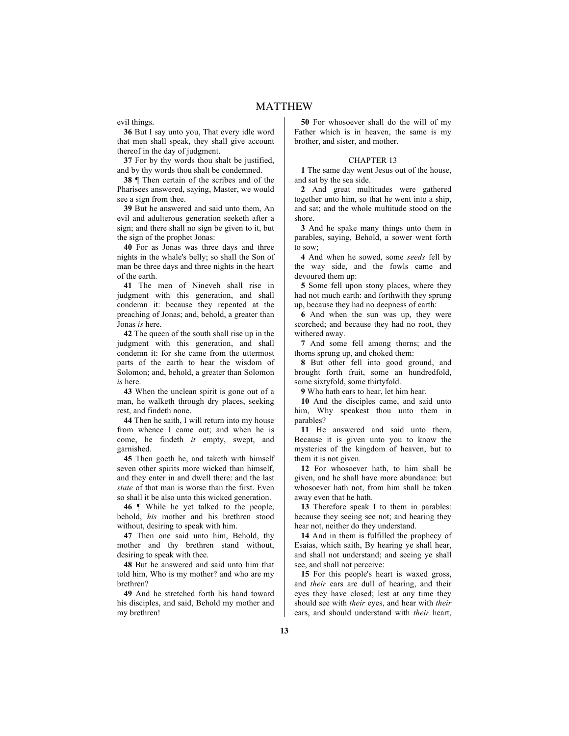evil things.

**36** But I say unto you, That every idle word that men shall speak, they shall give account thereof in the day of judgment.

**37** For by thy words thou shalt be justified, and by thy words thou shalt be condemned.

**38** ¶ Then certain of the scribes and of the Pharisees answered, saying, Master, we would see a sign from thee.

**39** But he answered and said unto them, An evil and adulterous generation seeketh after a sign; and there shall no sign be given to it, but the sign of the prophet Jonas:

**40** For as Jonas was three days and three nights in the whale's belly; so shall the Son of man be three days and three nights in the heart of the earth.

**41** The men of Nineveh shall rise in judgment with this generation, and shall condemn it: because they repented at the preaching of Jonas; and, behold, a greater than Jonas *is* here.

**42** The queen of the south shall rise up in the judgment with this generation, and shall condemn it: for she came from the uttermost parts of the earth to hear the wisdom of Solomon; and, behold, a greater than Solomon *is* here.

**43** When the unclean spirit is gone out of a man, he walketh through dry places, seeking rest, and findeth none.

**44** Then he saith, I will return into my house from whence I came out; and when he is come, he findeth *it* empty, swept, and garnished.

**45** Then goeth he, and taketh with himself seven other spirits more wicked than himself, and they enter in and dwell there: and the last *state* of that man is worse than the first. Even so shall it be also unto this wicked generation.

**46** ¶ While he yet talked to the people, behold, *his* mother and his brethren stood without, desiring to speak with him.

**47** Then one said unto him, Behold, thy mother and thy brethren stand without, desiring to speak with thee.

**48** But he answered and said unto him that told him, Who is my mother? and who are my brethren?

**49** And he stretched forth his hand toward his disciples, and said, Behold my mother and my brethren!

**50** For whosoever shall do the will of my Father which is in heaven, the same is my brother, and sister, and mother.

### CHAPTER 13

**1** The same day went Jesus out of the house, and sat by the sea side.

**2** And great multitudes were gathered together unto him, so that he went into a ship, and sat; and the whole multitude stood on the shore.

**3** And he spake many things unto them in parables, saying, Behold, a sower went forth to sow;

**4** And when he sowed, some *seeds* fell by the way side, and the fowls came and devoured them up:

**5** Some fell upon stony places, where they had not much earth: and forthwith they sprung up, because they had no deepness of earth:

**6** And when the sun was up, they were scorched; and because they had no root, they withered away.

**7** And some fell among thorns; and the thorns sprung up, and choked them:

**8** But other fell into good ground, and brought forth fruit, some an hundredfold, some sixtyfold, some thirtyfold.

**9** Who hath ears to hear, let him hear.

**10** And the disciples came, and said unto him, Why speakest thou unto them in parables?

**11** He answered and said unto them, Because it is given unto you to know the mysteries of the kingdom of heaven, but to them it is not given.

**12** For whosoever hath, to him shall be given, and he shall have more abundance: but whosoever hath not, from him shall be taken away even that he hath.

**13** Therefore speak I to them in parables: because they seeing see not; and hearing they hear not, neither do they understand.

**14** And in them is fulfilled the prophecy of Esaias, which saith, By hearing ye shall hear, and shall not understand; and seeing ye shall see, and shall not perceive:

**15** For this people's heart is waxed gross, and *their* ears are dull of hearing, and their eyes they have closed; lest at any time they should see with *their* eyes, and hear with *their* ears, and should understand with *their* heart,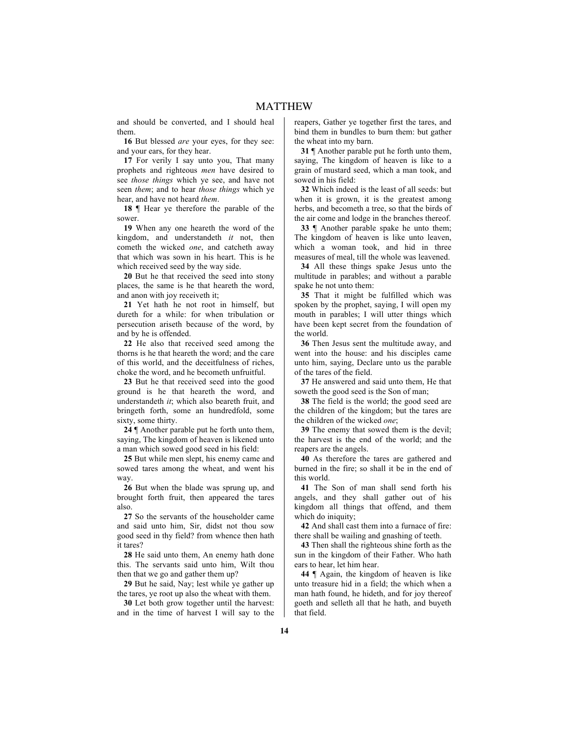and should be converted, and I should heal them.

**16** But blessed *are* your eyes, for they see: and your ears, for they hear.

**17** For verily I say unto you, That many prophets and righteous *men* have desired to see *those things* which ye see, and have not seen *them*; and to hear *those things* which ye hear, and have not heard *them*.

**18** ¶ Hear ye therefore the parable of the sower.

**19** When any one heareth the word of the kingdom, and understandeth *it* not, then cometh the wicked *one*, and catcheth away that which was sown in his heart. This is he which received seed by the way side.

**20** But he that received the seed into stony places, the same is he that heareth the word, and anon with joy receiveth it;

**21** Yet hath he not root in himself, but dureth for a while: for when tribulation or persecution ariseth because of the word, by and by he is offended.

**22** He also that received seed among the thorns is he that heareth the word; and the care of this world, and the deceitfulness of riches, choke the word, and he becometh unfruitful.

**23** But he that received seed into the good ground is he that heareth the word, and understandeth *it*; which also beareth fruit, and bringeth forth, some an hundredfold, some sixty, some thirty.

**24** ¶ Another parable put he forth unto them, saying, The kingdom of heaven is likened unto a man which sowed good seed in his field:

**25** But while men slept, his enemy came and sowed tares among the wheat, and went his way.

**26** But when the blade was sprung up, and brought forth fruit, then appeared the tares also.

**27** So the servants of the householder came and said unto him, Sir, didst not thou sow good seed in thy field? from whence then hath it tares?

**28** He said unto them, An enemy hath done this. The servants said unto him, Wilt thou then that we go and gather them up?

**29** But he said, Nay; lest while ye gather up the tares, ye root up also the wheat with them.

**30** Let both grow together until the harvest: and in the time of harvest I will say to the reapers, Gather ye together first the tares, and bind them in bundles to burn them: but gather the wheat into my barn.

**31** ¶ Another parable put he forth unto them, saying, The kingdom of heaven is like to a grain of mustard seed, which a man took, and sowed in his field:

**32** Which indeed is the least of all seeds: but when it is grown, it is the greatest among herbs, and becometh a tree, so that the birds of the air come and lodge in the branches thereof.

**33** ¶ Another parable spake he unto them; The kingdom of heaven is like unto leaven, which a woman took, and hid in three measures of meal, till the whole was leavened.

**34** All these things spake Jesus unto the multitude in parables; and without a parable spake he not unto them:

**35** That it might be fulfilled which was spoken by the prophet, saying, I will open my mouth in parables; I will utter things which have been kept secret from the foundation of the world.

**36** Then Jesus sent the multitude away, and went into the house: and his disciples came unto him, saying, Declare unto us the parable of the tares of the field.

**37** He answered and said unto them, He that soweth the good seed is the Son of man;

**38** The field is the world; the good seed are the children of the kingdom; but the tares are the children of the wicked *one*;

**39** The enemy that sowed them is the devil; the harvest is the end of the world; and the reapers are the angels.

**40** As therefore the tares are gathered and burned in the fire; so shall it be in the end of this world.

**41** The Son of man shall send forth his angels, and they shall gather out of his kingdom all things that offend, and them which do iniquity;

**42** And shall cast them into a furnace of fire: there shall be wailing and gnashing of teeth.

**43** Then shall the righteous shine forth as the sun in the kingdom of their Father. Who hath ears to hear, let him hear.

**44** ¶ Again, the kingdom of heaven is like unto treasure hid in a field; the which when a man hath found, he hideth, and for joy thereof goeth and selleth all that he hath, and buyeth that field.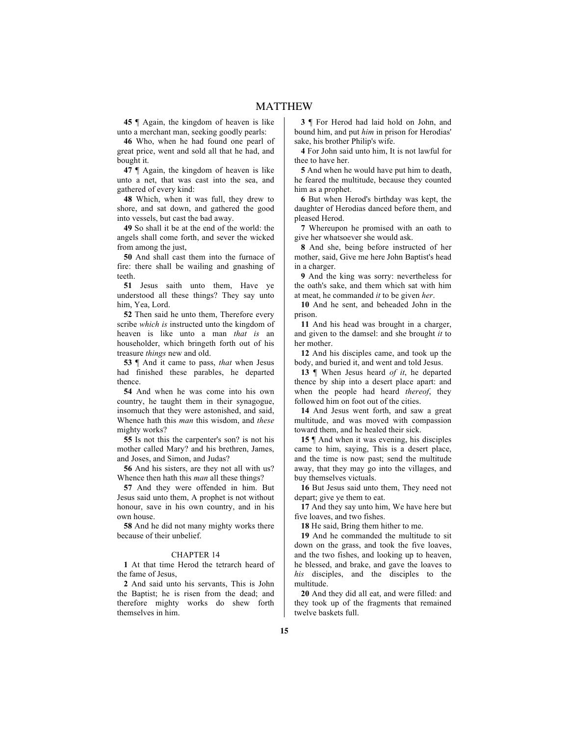**45** ¶ Again, the kingdom of heaven is like unto a merchant man, seeking goodly pearls:

**46** Who, when he had found one pearl of great price, went and sold all that he had, and bought it.

**47** ¶ Again, the kingdom of heaven is like unto a net, that was cast into the sea, and gathered of every kind:

**48** Which, when it was full, they drew to shore, and sat down, and gathered the good into vessels, but cast the bad away.

**49** So shall it be at the end of the world: the angels shall come forth, and sever the wicked from among the just,

**50** And shall cast them into the furnace of fire: there shall be wailing and gnashing of teeth.

**51** Jesus saith unto them, Have ye understood all these things? They say unto him, Yea, Lord.

**52** Then said he unto them, Therefore every scribe *which is* instructed unto the kingdom of heaven is like unto a man *that is* an householder, which bringeth forth out of his treasure *things* new and old.

**53** ¶ And it came to pass, *that* when Jesus had finished these parables, he departed thence.

**54** And when he was come into his own country, he taught them in their synagogue, insomuch that they were astonished, and said, Whence hath this *man* this wisdom, and *these* mighty works?

**55** Is not this the carpenter's son? is not his mother called Mary? and his brethren, James, and Joses, and Simon, and Judas?

**56** And his sisters, are they not all with us? Whence then hath this *man* all these things?

**57** And they were offended in him. But Jesus said unto them, A prophet is not without honour, save in his own country, and in his own house.

**58** And he did not many mighty works there because of their unbelief.

#### CHAPTER 14

**1** At that time Herod the tetrarch heard of the fame of Jesus,

**2** And said unto his servants, This is John the Baptist; he is risen from the dead; and therefore mighty works do shew forth themselves in him.

**3** ¶ For Herod had laid hold on John, and bound him, and put *him* in prison for Herodias' sake, his brother Philip's wife.

**4** For John said unto him, It is not lawful for thee to have her.

**5** And when he would have put him to death, he feared the multitude, because they counted him as a prophet.

**6** But when Herod's birthday was kept, the daughter of Herodias danced before them, and pleased Herod.

**7** Whereupon he promised with an oath to give her whatsoever she would ask.

**8** And she, being before instructed of her mother, said, Give me here John Baptist's head in a charger.

**9** And the king was sorry: nevertheless for the oath's sake, and them which sat with him at meat, he commanded *it* to be given *her*.

**10** And he sent, and beheaded John in the prison.

**11** And his head was brought in a charger, and given to the damsel: and she brought *it* to her mother.

**12** And his disciples came, and took up the body, and buried it, and went and told Jesus.

**13** ¶ When Jesus heard *of it*, he departed thence by ship into a desert place apart: and when the people had heard *thereof*, they followed him on foot out of the cities.

**14** And Jesus went forth, and saw a great multitude, and was moved with compassion toward them, and he healed their sick.

**15** ¶ And when it was evening, his disciples came to him, saying, This is a desert place, and the time is now past; send the multitude away, that they may go into the villages, and buy themselves victuals.

**16** But Jesus said unto them, They need not depart; give ye them to eat.

**17** And they say unto him, We have here but five loaves, and two fishes.

**18** He said, Bring them hither to me.

**19** And he commanded the multitude to sit down on the grass, and took the five loaves, and the two fishes, and looking up to heaven, he blessed, and brake, and gave the loaves to *his* disciples, and the disciples to the multitude.

**20** And they did all eat, and were filled: and they took up of the fragments that remained twelve baskets full.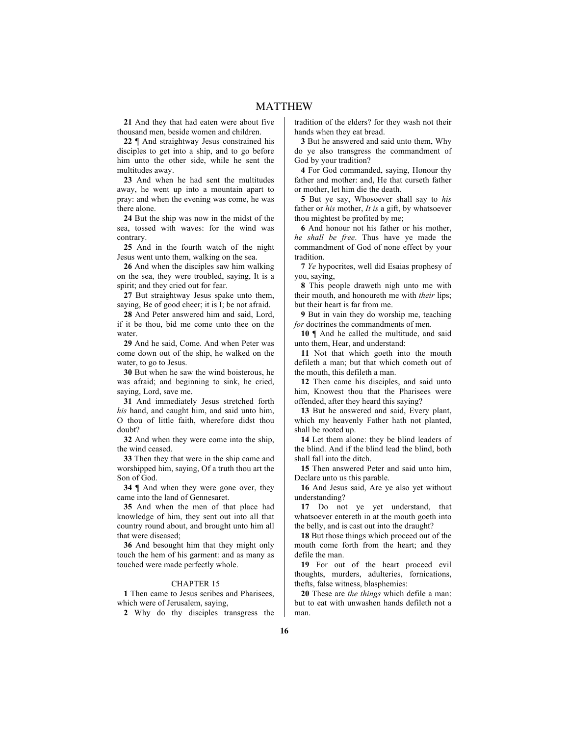**21** And they that had eaten were about five thousand men, beside women and children.

**22** ¶ And straightway Jesus constrained his disciples to get into a ship, and to go before him unto the other side, while he sent the multitudes away.

**23** And when he had sent the multitudes away, he went up into a mountain apart to pray: and when the evening was come, he was there alone.

**24** But the ship was now in the midst of the sea, tossed with waves: for the wind was contrary.

**25** And in the fourth watch of the night Jesus went unto them, walking on the sea.

**26** And when the disciples saw him walking on the sea, they were troubled, saying, It is a spirit; and they cried out for fear.

**27** But straightway Jesus spake unto them, saying, Be of good cheer; it is I; be not afraid.

**28** And Peter answered him and said, Lord, if it be thou, bid me come unto thee on the water

**29** And he said, Come. And when Peter was come down out of the ship, he walked on the water, to go to Jesus.

**30** But when he saw the wind boisterous, he was afraid; and beginning to sink, he cried, saying, Lord, save me.

**31** And immediately Jesus stretched forth *his* hand, and caught him, and said unto him, O thou of little faith, wherefore didst thou doubt?

**32** And when they were come into the ship, the wind ceased.

**33** Then they that were in the ship came and worshipped him, saying, Of a truth thou art the Son of God.

**34** ¶ And when they were gone over, they came into the land of Gennesaret.

**35** And when the men of that place had knowledge of him, they sent out into all that country round about, and brought unto him all that were diseased;

**36** And besought him that they might only touch the hem of his garment: and as many as touched were made perfectly whole.

### CHAPTER 15

**1** Then came to Jesus scribes and Pharisees, which were of Jerusalem, saying,

**2** Why do thy disciples transgress the

tradition of the elders? for they wash not their hands when they eat bread.

**3** But he answered and said unto them, Why do ye also transgress the commandment of God by your tradition?

**4** For God commanded, saying, Honour thy father and mother: and, He that curseth father or mother, let him die the death.

**5** But ye say, Whosoever shall say to *his* father or *his* mother, *It is* a gift, by whatsoever thou mightest be profited by me;

**6** And honour not his father or his mother, *he shall be free*. Thus have ye made the commandment of God of none effect by your tradition.

**7** *Ye* hypocrites, well did Esaias prophesy of you, saying,

**8** This people draweth nigh unto me with their mouth, and honoureth me with *their* lips; but their heart is far from me.

**9** But in vain they do worship me, teaching *for* doctrines the commandments of men.

**10** ¶ And he called the multitude, and said unto them, Hear, and understand:

**11** Not that which goeth into the mouth defileth a man; but that which cometh out of the mouth, this defileth a man.

**12** Then came his disciples, and said unto him, Knowest thou that the Pharisees were offended, after they heard this saying?

**13** But he answered and said, Every plant, which my heavenly Father hath not planted, shall be rooted up.

**14** Let them alone: they be blind leaders of the blind. And if the blind lead the blind, both shall fall into the ditch.

**15** Then answered Peter and said unto him, Declare unto us this parable.

**16** And Jesus said, Are ye also yet without understanding?

**17** Do not ye yet understand, that whatsoever entereth in at the mouth goeth into the belly, and is cast out into the draught?

**18** But those things which proceed out of the mouth come forth from the heart; and they defile the man.

**19** For out of the heart proceed evil thoughts, murders, adulteries, fornications, thefts, false witness, blasphemies:

**20** These are *the things* which defile a man: but to eat with unwashen hands defileth not a man.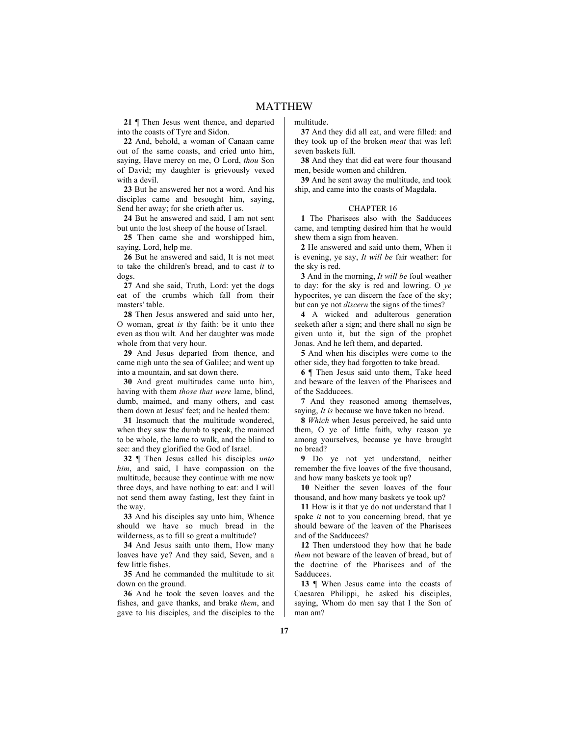**21** ¶ Then Jesus went thence, and departed into the coasts of Tyre and Sidon.

**22** And, behold, a woman of Canaan came out of the same coasts, and cried unto him, saying, Have mercy on me, O Lord, *thou* Son of David; my daughter is grievously vexed with a devil.

**23** But he answered her not a word. And his disciples came and besought him, saying, Send her away; for she crieth after us.

**24** But he answered and said, I am not sent but unto the lost sheep of the house of Israel.

**25** Then came she and worshipped him, saying, Lord, help me.

**26** But he answered and said, It is not meet to take the children's bread, and to cast *it* to dogs.

**27** And she said, Truth, Lord: yet the dogs eat of the crumbs which fall from their masters' table.

**28** Then Jesus answered and said unto her, O woman, great *is* thy faith: be it unto thee even as thou wilt. And her daughter was made whole from that very hour.

**29** And Jesus departed from thence, and came nigh unto the sea of Galilee; and went up into a mountain, and sat down there.

**30** And great multitudes came unto him, having with them *those that were* lame, blind, dumb, maimed, and many others, and cast them down at Jesus' feet; and he healed them:

**31** Insomuch that the multitude wondered, when they saw the dumb to speak, the maimed to be whole, the lame to walk, and the blind to see: and they glorified the God of Israel.

**32** ¶ Then Jesus called his disciples *unto him*, and said, I have compassion on the multitude, because they continue with me now three days, and have nothing to eat: and I will not send them away fasting, lest they faint in the way.

**33** And his disciples say unto him, Whence should we have so much bread in the wilderness, as to fill so great a multitude?

**34** And Jesus saith unto them, How many loaves have ye? And they said, Seven, and a few little fishes.

**35** And he commanded the multitude to sit down on the ground.

**36** And he took the seven loaves and the fishes, and gave thanks, and brake *them*, and gave to his disciples, and the disciples to the multitude.

**37** And they did all eat, and were filled: and they took up of the broken *meat* that was left seven baskets full.

**38** And they that did eat were four thousand men, beside women and children.

**39** And he sent away the multitude, and took ship, and came into the coasts of Magdala.

#### CHAPTER 16

**1** The Pharisees also with the Sadducees came, and tempting desired him that he would shew them a sign from heaven.

**2** He answered and said unto them, When it is evening, ye say, *It will be* fair weather: for the sky is red.

**3** And in the morning, *It will be* foul weather to day: for the sky is red and lowring. O *ye* hypocrites, ye can discern the face of the sky; but can ye not *discern* the signs of the times?

**4** A wicked and adulterous generation seeketh after a sign; and there shall no sign be given unto it, but the sign of the prophet Jonas. And he left them, and departed.

**5** And when his disciples were come to the other side, they had forgotten to take bread.

**6** ¶ Then Jesus said unto them, Take heed and beware of the leaven of the Pharisees and of the Sadducees.

**7** And they reasoned among themselves, saying, *It is* because we have taken no bread.

**8** *Which* when Jesus perceived, he said unto them, O ye of little faith, why reason ye among yourselves, because ye have brought no bread?

**9** Do ye not yet understand, neither remember the five loaves of the five thousand, and how many baskets ye took up?

**10** Neither the seven loaves of the four thousand, and how many baskets ye took up?

**11** How is it that ye do not understand that I spake *it* not to you concerning bread, that ye should beware of the leaven of the Pharisees and of the Sadducees?

**12** Then understood they how that he bade *them* not beware of the leaven of bread, but of the doctrine of the Pharisees and of the **Sadducees** 

**13** ¶ When Jesus came into the coasts of Caesarea Philippi, he asked his disciples, saying, Whom do men say that I the Son of man am?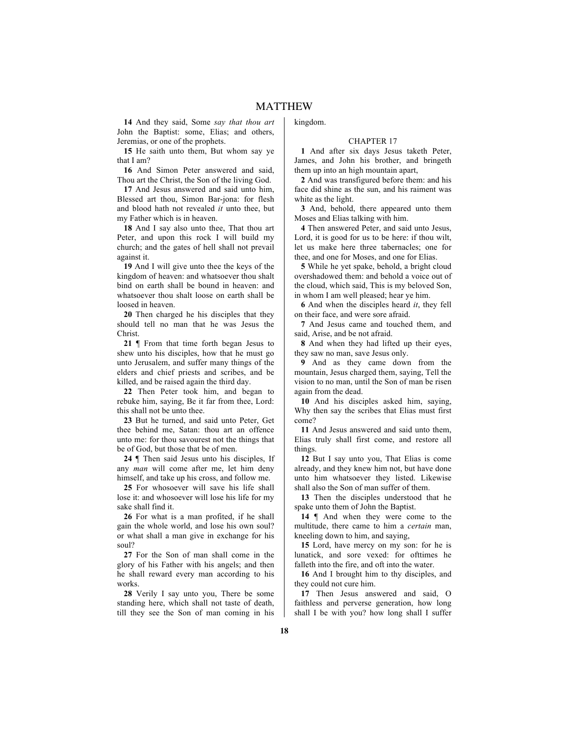**14** And they said, Some *say that thou art* John the Baptist: some, Elias; and others, Jeremias, or one of the prophets.

**15** He saith unto them, But whom say ye that I am?

**16** And Simon Peter answered and said, Thou art the Christ, the Son of the living God.

**17** And Jesus answered and said unto him, Blessed art thou, Simon Bar-jona: for flesh and blood hath not revealed *it* unto thee, but my Father which is in heaven.

**18** And I say also unto thee, That thou art Peter, and upon this rock I will build my church; and the gates of hell shall not prevail against it.

**19** And I will give unto thee the keys of the kingdom of heaven: and whatsoever thou shalt bind on earth shall be bound in heaven: and whatsoever thou shalt loose on earth shall be loosed in heaven.

**20** Then charged he his disciples that they should tell no man that he was Jesus the Christ.

**21** ¶ From that time forth began Jesus to shew unto his disciples, how that he must go unto Jerusalem, and suffer many things of the elders and chief priests and scribes, and be killed, and be raised again the third day.

**22** Then Peter took him, and began to rebuke him, saying, Be it far from thee, Lord: this shall not be unto thee.

**23** But he turned, and said unto Peter, Get thee behind me, Satan: thou art an offence unto me: for thou savourest not the things that be of God, but those that be of men.

**24** ¶ Then said Jesus unto his disciples, If any *man* will come after me, let him deny himself, and take up his cross, and follow me.

**25** For whosoever will save his life shall lose it: and whosoever will lose his life for my sake shall find it.

**26** For what is a man profited, if he shall gain the whole world, and lose his own soul? or what shall a man give in exchange for his soul?

**27** For the Son of man shall come in the glory of his Father with his angels; and then he shall reward every man according to his works.

**28** Verily I say unto you, There be some standing here, which shall not taste of death, till they see the Son of man coming in his kingdom.

#### CHAPTER 17

**1** And after six days Jesus taketh Peter, James, and John his brother, and bringeth them up into an high mountain apart,

**2** And was transfigured before them: and his face did shine as the sun, and his raiment was white as the light.

**3** And, behold, there appeared unto them Moses and Elias talking with him.

**4** Then answered Peter, and said unto Jesus, Lord, it is good for us to be here: if thou wilt, let us make here three tabernacles; one for thee, and one for Moses, and one for Elias.

**5** While he yet spake, behold, a bright cloud overshadowed them: and behold a voice out of the cloud, which said, This is my beloved Son, in whom I am well pleased; hear ye him.

**6** And when the disciples heard *it*, they fell on their face, and were sore afraid.

**7** And Jesus came and touched them, and said, Arise, and be not afraid.

**8** And when they had lifted up their eyes, they saw no man, save Jesus only.

**9** And as they came down from the mountain, Jesus charged them, saying, Tell the vision to no man, until the Son of man be risen again from the dead.

**10** And his disciples asked him, saying, Why then say the scribes that Elias must first come?

**11** And Jesus answered and said unto them, Elias truly shall first come, and restore all things.

**12** But I say unto you, That Elias is come already, and they knew him not, but have done unto him whatsoever they listed. Likewise shall also the Son of man suffer of them.

**13** Then the disciples understood that he spake unto them of John the Baptist.

14  $\parallel$  And when they were come to the multitude, there came to him a *certain* man, kneeling down to him, and saying,

**15** Lord, have mercy on my son: for he is lunatick, and sore vexed: for ofttimes he falleth into the fire, and oft into the water.

**16** And I brought him to thy disciples, and they could not cure him.

**17** Then Jesus answered and said, O faithless and perverse generation, how long shall I be with you? how long shall I suffer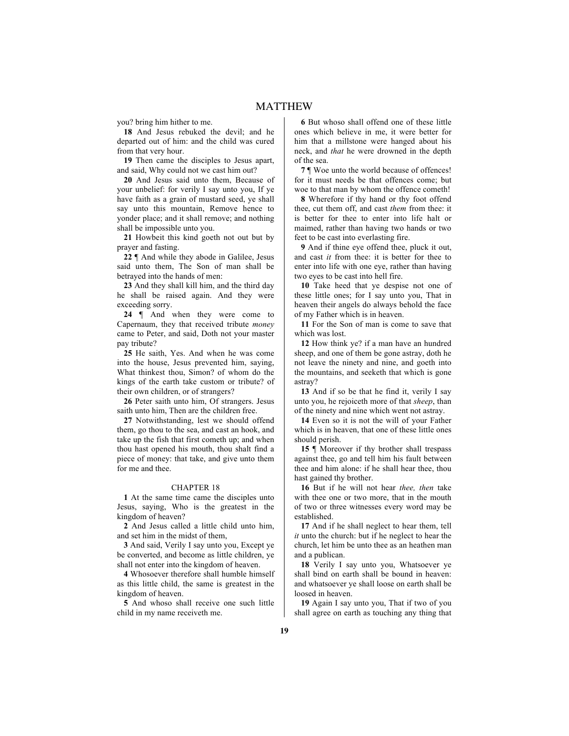you? bring him hither to me.

**18** And Jesus rebuked the devil; and he departed out of him: and the child was cured from that very hour.

**19** Then came the disciples to Jesus apart, and said, Why could not we cast him out?

**20** And Jesus said unto them, Because of your unbelief: for verily I say unto you, If ye have faith as a grain of mustard seed, ye shall say unto this mountain, Remove hence to yonder place; and it shall remove; and nothing shall be impossible unto you.

**21** Howbeit this kind goeth not out but by prayer and fasting.

**22** ¶ And while they abode in Galilee, Jesus said unto them, The Son of man shall be betrayed into the hands of men:

**23** And they shall kill him, and the third day he shall be raised again. And they were exceeding sorry.

**24** ¶ And when they were come to Capernaum, they that received tribute *money* came to Peter, and said, Doth not your master pay tribute?

**25** He saith, Yes. And when he was come into the house, Jesus prevented him, saying, What thinkest thou, Simon? of whom do the kings of the earth take custom or tribute? of their own children, or of strangers?

**26** Peter saith unto him, Of strangers. Jesus saith unto him, Then are the children free.

**27** Notwithstanding, lest we should offend them, go thou to the sea, and cast an hook, and take up the fish that first cometh up; and when thou hast opened his mouth, thou shalt find a piece of money: that take, and give unto them for me and thee.

#### CHAPTER 18

**1** At the same time came the disciples unto Jesus, saying, Who is the greatest in the kingdom of heaven?

**2** And Jesus called a little child unto him, and set him in the midst of them,

**3** And said, Verily I say unto you, Except ye be converted, and become as little children, ye shall not enter into the kingdom of heaven.

**4** Whosoever therefore shall humble himself as this little child, the same is greatest in the kingdom of heaven.

**5** And whoso shall receive one such little child in my name receiveth me.

**6** But whoso shall offend one of these little ones which believe in me, it were better for him that a millstone were hanged about his neck, and *that* he were drowned in the depth of the sea.

**7** ¶ Woe unto the world because of offences! for it must needs be that offences come; but woe to that man by whom the offence cometh!

**8** Wherefore if thy hand or thy foot offend thee, cut them off, and cast *them* from thee: it is better for thee to enter into life halt or maimed, rather than having two hands or two feet to be cast into everlasting fire.

**9** And if thine eye offend thee, pluck it out, and cast *it* from thee: it is better for thee to enter into life with one eye, rather than having two eyes to be cast into hell fire.

**10** Take heed that ye despise not one of these little ones; for I say unto you, That in heaven their angels do always behold the face of my Father which is in heaven.

**11** For the Son of man is come to save that which was lost.

**12** How think ye? if a man have an hundred sheep, and one of them be gone astray, doth he not leave the ninety and nine, and goeth into the mountains, and seeketh that which is gone astray?

**13** And if so be that he find it, verily I say unto you, he rejoiceth more of that *sheep*, than of the ninety and nine which went not astray.

**14** Even so it is not the will of your Father which is in heaven, that one of these little ones should perish.

**15** ¶ Moreover if thy brother shall trespass against thee, go and tell him his fault between thee and him alone: if he shall hear thee, thou hast gained thy brother.

**16** But if he will not hear *thee, then* take with thee one or two more, that in the mouth of two or three witnesses every word may be established.

**17** And if he shall neglect to hear them, tell *it* unto the church: but if he neglect to hear the church, let him be unto thee as an heathen man and a publican.

**18** Verily I say unto you, Whatsoever ye shall bind on earth shall be bound in heaven: and whatsoever ye shall loose on earth shall be loosed in heaven.

**19** Again I say unto you, That if two of you shall agree on earth as touching any thing that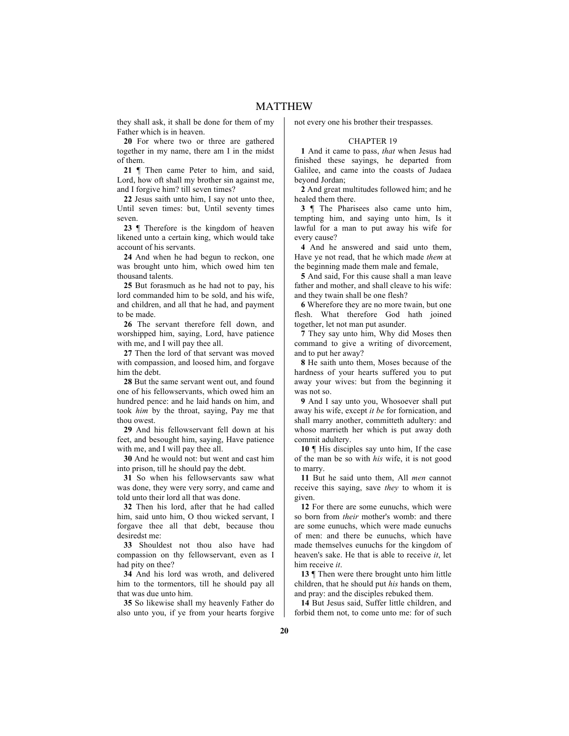they shall ask, it shall be done for them of my Father which is in heaven.

**20** For where two or three are gathered together in my name, there am I in the midst of them.

21 | Then came Peter to him, and said, Lord, how oft shall my brother sin against me, and I forgive him? till seven times?

**22** Jesus saith unto him, I say not unto thee, Until seven times: but, Until seventy times seven.

**23** ¶ Therefore is the kingdom of heaven likened unto a certain king, which would take account of his servants.

**24** And when he had begun to reckon, one was brought unto him, which owed him ten thousand talents.

**25** But forasmuch as he had not to pay, his lord commanded him to be sold, and his wife, and children, and all that he had, and payment to be made.

**26** The servant therefore fell down, and worshipped him, saying, Lord, have patience with me, and I will pay thee all.

**27** Then the lord of that servant was moved with compassion, and loosed him, and forgave him the debt.

**28** But the same servant went out, and found one of his fellowservants, which owed him an hundred pence: and he laid hands on him, and took *him* by the throat, saying, Pay me that thou owest.

**29** And his fellowservant fell down at his feet, and besought him, saying, Have patience with me, and I will pay thee all.

**30** And he would not: but went and cast him into prison, till he should pay the debt.

**31** So when his fellowservants saw what was done, they were very sorry, and came and told unto their lord all that was done.

**32** Then his lord, after that he had called him, said unto him, O thou wicked servant, I forgave thee all that debt, because thou desiredst me:

**33** Shouldest not thou also have had compassion on thy fellowservant, even as I had pity on thee?

**34** And his lord was wroth, and delivered him to the tormentors, till he should pay all that was due unto him.

**35** So likewise shall my heavenly Father do also unto you, if ye from your hearts forgive not every one his brother their trespasses.

# CHAPTER 19

**1** And it came to pass, *that* when Jesus had finished these sayings, he departed from Galilee, and came into the coasts of Judaea beyond Jordan;

**2** And great multitudes followed him; and he healed them there.

**3** ¶ The Pharisees also came unto him, tempting him, and saying unto him, Is it lawful for a man to put away his wife for every cause?

**4** And he answered and said unto them, Have ye not read, that he which made *them* at the beginning made them male and female,

**5** And said, For this cause shall a man leave father and mother, and shall cleave to his wife: and they twain shall be one flesh?

**6** Wherefore they are no more twain, but one flesh. What therefore God hath joined together, let not man put asunder.

**7** They say unto him, Why did Moses then command to give a writing of divorcement, and to put her away?

**8** He saith unto them, Moses because of the hardness of your hearts suffered you to put away your wives: but from the beginning it was not so.

**9** And I say unto you, Whosoever shall put away his wife, except *it be* for fornication, and shall marry another, committeth adultery: and whoso marrieth her which is put away doth commit adultery.

**10** ¶ His disciples say unto him, If the case of the man be so with *his* wife, it is not good to marry.

**11** But he said unto them, All *men* cannot receive this saying, save *they* to whom it is given.

**12** For there are some eunuchs, which were so born from *their* mother's womb: and there are some eunuchs, which were made eunuchs of men: and there be eunuchs, which have made themselves eunuchs for the kingdom of heaven's sake. He that is able to receive *it*, let him receive *it*.

**13** ¶ Then were there brought unto him little children, that he should put *his* hands on them, and pray: and the disciples rebuked them.

**14** But Jesus said, Suffer little children, and forbid them not, to come unto me: for of such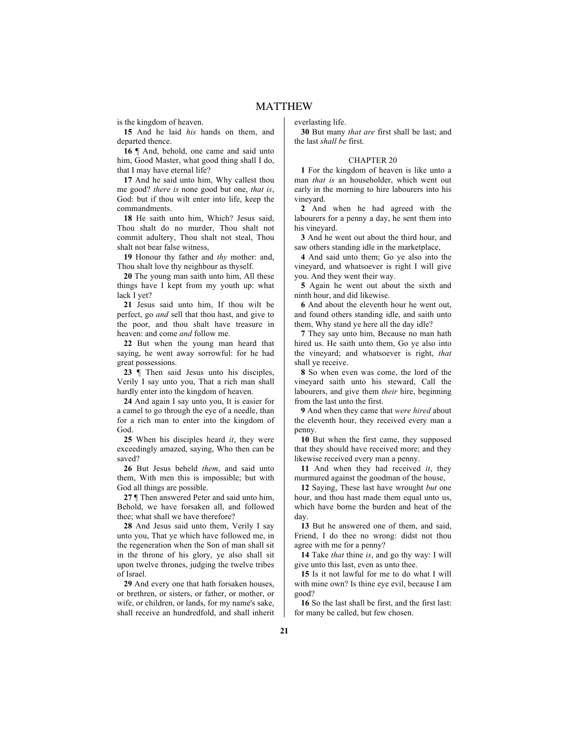is the kingdom of heaven.

**15** And he laid *his* hands on them, and departed thence.

16  $\P$  And, behold, one came and said unto him, Good Master, what good thing shall I do, that I may have eternal life?

**17** And he said unto him, Why callest thou me good? *there is* none good but one, *that is*, God: but if thou wilt enter into life, keep the commandments.

**18** He saith unto him, Which? Jesus said, Thou shalt do no murder, Thou shalt not commit adultery, Thou shalt not steal, Thou shalt not bear false witness,

**19** Honour thy father and *thy* mother: and, Thou shalt love thy neighbour as thyself.

**20** The young man saith unto him, All these things have I kept from my youth up: what lack I yet?

**21** Jesus said unto him, If thou wilt be perfect, go *and* sell that thou hast, and give to the poor, and thou shalt have treasure in heaven: and come *and* follow me.

**22** But when the young man heard that saying, he went away sorrowful: for he had great possessions.

**23** ¶ Then said Jesus unto his disciples, Verily I say unto you, That a rich man shall hardly enter into the kingdom of heaven.

**24** And again I say unto you, It is easier for a camel to go through the eye of a needle, than for a rich man to enter into the kingdom of God.

**25** When his disciples heard *it*, they were exceedingly amazed, saying, Who then can be saved?

**26** But Jesus beheld *them*, and said unto them, With men this is impossible; but with God all things are possible.

**27** ¶ Then answered Peter and said unto him, Behold, we have forsaken all, and followed thee; what shall we have therefore?

**28** And Jesus said unto them, Verily I say unto you, That ye which have followed me, in the regeneration when the Son of man shall sit in the throne of his glory, ye also shall sit upon twelve thrones, judging the twelve tribes of Israel.

**29** And every one that hath forsaken houses, or brethren, or sisters, or father, or mother, or wife, or children, or lands, for my name's sake, shall receive an hundredfold, and shall inherit everlasting life.

**30** But many *that are* first shall be last; and the last *shall be* first.

#### CHAPTER 20

**1** For the kingdom of heaven is like unto a man *that is* an householder, which went out early in the morning to hire labourers into his vineyard.

**2** And when he had agreed with the labourers for a penny a day, he sent them into his vineyard.

**3** And he went out about the third hour, and saw others standing idle in the marketplace,

**4** And said unto them; Go ye also into the vineyard, and whatsoever is right I will give you. And they went their way.

**5** Again he went out about the sixth and ninth hour, and did likewise.

**6** And about the eleventh hour he went out, and found others standing idle, and saith unto them, Why stand ye here all the day idle?

**7** They say unto him, Because no man hath hired us. He saith unto them, Go ye also into the vineyard; and whatsoever is right, *that* shall ye receive.

**8** So when even was come, the lord of the vineyard saith unto his steward, Call the labourers, and give them *their* hire, beginning from the last unto the first.

**9** And when they came that *were hired* about the eleventh hour, they received every man a penny.

**10** But when the first came, they supposed that they should have received more; and they likewise received every man a penny.

**11** And when they had received *it*, they murmured against the goodman of the house,

**12** Saying, These last have wrought *but* one hour, and thou hast made them equal unto us, which have borne the burden and heat of the day.

**13** But he answered one of them, and said, Friend, I do thee no wrong: didst not thou agree with me for a penny?

**14** Take *that* thine *is*, and go thy way: I will give unto this last, even as unto thee.

**15** Is it not lawful for me to do what I will with mine own? Is thine eye evil, because I am good?

**16** So the last shall be first, and the first last: for many be called, but few chosen.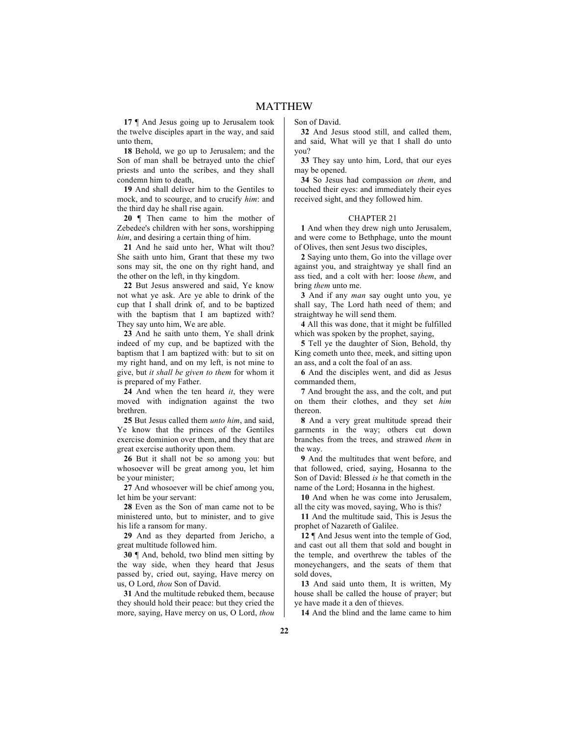**17** ¶ And Jesus going up to Jerusalem took the twelve disciples apart in the way, and said unto them,

**18** Behold, we go up to Jerusalem; and the Son of man shall be betrayed unto the chief priests and unto the scribes, and they shall condemn him to death,

**19** And shall deliver him to the Gentiles to mock, and to scourge, and to crucify *him*: and the third day he shall rise again.

**20** ¶ Then came to him the mother of Zebedee's children with her sons, worshipping *him*, and desiring a certain thing of him.

**21** And he said unto her, What wilt thou? She saith unto him, Grant that these my two sons may sit, the one on thy right hand, and the other on the left, in thy kingdom.

**22** But Jesus answered and said, Ye know not what ye ask. Are ye able to drink of the cup that I shall drink of, and to be baptized with the baptism that I am baptized with? They say unto him, We are able.

**23** And he saith unto them, Ye shall drink indeed of my cup, and be baptized with the baptism that I am baptized with: but to sit on my right hand, and on my left, is not mine to give, but *it shall be given to them* for whom it is prepared of my Father.

**24** And when the ten heard *it*, they were moved with indignation against the two brethren.

**25** But Jesus called them *unto him*, and said, Ye know that the princes of the Gentiles exercise dominion over them, and they that are great exercise authority upon them.

**26** But it shall not be so among you: but whosoever will be great among you, let him be your minister;

**27** And whosoever will be chief among you, let him be your servant:

**28** Even as the Son of man came not to be ministered unto, but to minister, and to give his life a ransom for many.

**29** And as they departed from Jericho, a great multitude followed him.

**30** ¶ And, behold, two blind men sitting by the way side, when they heard that Jesus passed by, cried out, saying, Have mercy on us, O Lord, *thou* Son of David.

**31** And the multitude rebuked them, because they should hold their peace: but they cried the more, saying, Have mercy on us, O Lord, *thou* Son of David.

**32** And Jesus stood still, and called them, and said, What will ye that I shall do unto you?

**33** They say unto him, Lord, that our eyes may be opened.

**34** So Jesus had compassion *on them*, and touched their eyes: and immediately their eyes received sight, and they followed him.

#### CHAPTER 21

**1** And when they drew nigh unto Jerusalem, and were come to Bethphage, unto the mount of Olives, then sent Jesus two disciples,

**2** Saying unto them, Go into the village over against you, and straightway ye shall find an ass tied, and a colt with her: loose *them*, and bring *them* unto me.

**3** And if any *man* say ought unto you, ye shall say, The Lord hath need of them; and straightway he will send them.

**4** All this was done, that it might be fulfilled which was spoken by the prophet, saying,

**5** Tell ye the daughter of Sion, Behold, thy King cometh unto thee, meek, and sitting upon an ass, and a colt the foal of an ass.

**6** And the disciples went, and did as Jesus commanded them,

**7** And brought the ass, and the colt, and put on them their clothes, and they set *him* thereon.

**8** And a very great multitude spread their garments in the way; others cut down branches from the trees, and strawed *them* in the way.

**9** And the multitudes that went before, and that followed, cried, saying, Hosanna to the Son of David: Blessed *is* he that cometh in the name of the Lord; Hosanna in the highest.

**10** And when he was come into Jerusalem, all the city was moved, saying, Who is this?

**11** And the multitude said, This is Jesus the prophet of Nazareth of Galilee.

**12** ¶ And Jesus went into the temple of God, and cast out all them that sold and bought in the temple, and overthrew the tables of the moneychangers, and the seats of them that sold doves,

**13** And said unto them, It is written, My house shall be called the house of prayer; but ye have made it a den of thieves.

**14** And the blind and the lame came to him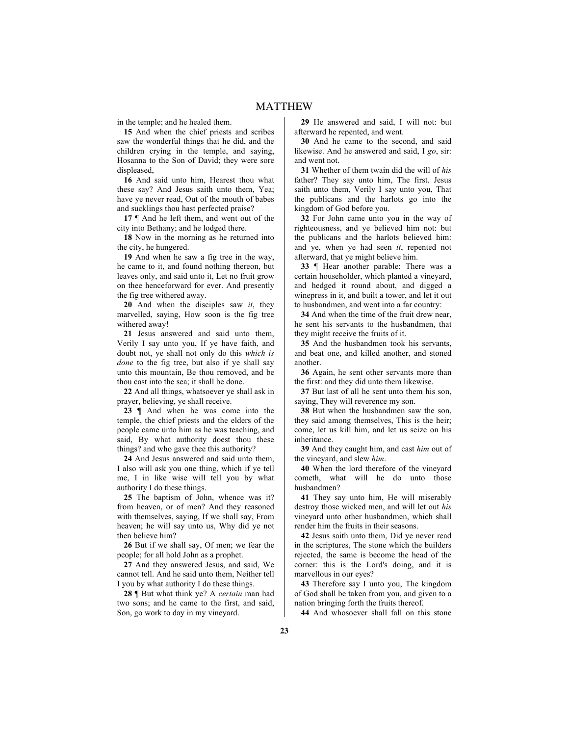in the temple; and he healed them.

**15** And when the chief priests and scribes saw the wonderful things that he did, and the children crying in the temple, and saying, Hosanna to the Son of David; they were sore displeased,

**16** And said unto him, Hearest thou what these say? And Jesus saith unto them, Yea; have ye never read, Out of the mouth of babes and sucklings thou hast perfected praise?

**17** ¶ And he left them, and went out of the city into Bethany; and he lodged there.

**18** Now in the morning as he returned into the city, he hungered.

**19** And when he saw a fig tree in the way, he came to it, and found nothing thereon, but leaves only, and said unto it, Let no fruit grow on thee henceforward for ever. And presently the fig tree withered away.

**20** And when the disciples saw *it*, they marvelled, saying, How soon is the fig tree withered away!

**21** Jesus answered and said unto them, Verily I say unto you, If ye have faith, and doubt not, ye shall not only do this *which is done* to the fig tree, but also if ye shall say unto this mountain, Be thou removed, and be thou cast into the sea; it shall be done.

**22** And all things, whatsoever ye shall ask in prayer, believing, ye shall receive.

**23** ¶ And when he was come into the temple, the chief priests and the elders of the people came unto him as he was teaching, and said, By what authority doest thou these things? and who gave thee this authority?

**24** And Jesus answered and said unto them, I also will ask you one thing, which if ye tell me, I in like wise will tell you by what authority I do these things.

**25** The baptism of John, whence was it? from heaven, or of men? And they reasoned with themselves, saying, If we shall say, From heaven; he will say unto us, Why did ye not then believe him?

**26** But if we shall say, Of men; we fear the people; for all hold John as a prophet.

**27** And they answered Jesus, and said, We cannot tell. And he said unto them, Neither tell I you by what authority I do these things.

**28** ¶ But what think ye? A *certain* man had two sons; and he came to the first, and said, Son, go work to day in my vineyard.

**29** He answered and said, I will not: but afterward he repented, and went.

**30** And he came to the second, and said likewise. And he answered and said, I *go*, sir: and went not.

**31** Whether of them twain did the will of *his* father? They say unto him, The first. Jesus saith unto them, Verily I say unto you, That the publicans and the harlots go into the kingdom of God before you.

**32** For John came unto you in the way of righteousness, and ye believed him not: but the publicans and the harlots believed him: and ye, when ye had seen *it*, repented not afterward, that ye might believe him.

**33** ¶ Hear another parable: There was a certain householder, which planted a vineyard, and hedged it round about, and digged a winepress in it, and built a tower, and let it out to husbandmen, and went into a far country:

**34** And when the time of the fruit drew near, he sent his servants to the husbandmen, that they might receive the fruits of it.

**35** And the husbandmen took his servants, and beat one, and killed another, and stoned another.

**36** Again, he sent other servants more than the first: and they did unto them likewise.

**37** But last of all he sent unto them his son, saying, They will reverence my son.

**38** But when the husbandmen saw the son, they said among themselves, This is the heir; come, let us kill him, and let us seize on his inheritance.

**39** And they caught him, and cast *him* out of the vineyard, and slew *him*.

**40** When the lord therefore of the vineyard cometh, what will he do unto those husbandmen?

**41** They say unto him, He will miserably destroy those wicked men, and will let out *his* vineyard unto other husbandmen, which shall render him the fruits in their seasons.

**42** Jesus saith unto them, Did ye never read in the scriptures, The stone which the builders rejected, the same is become the head of the corner: this is the Lord's doing, and it is marvellous in our eyes?

**43** Therefore say I unto you, The kingdom of God shall be taken from you, and given to a nation bringing forth the fruits thereof.

**44** And whosoever shall fall on this stone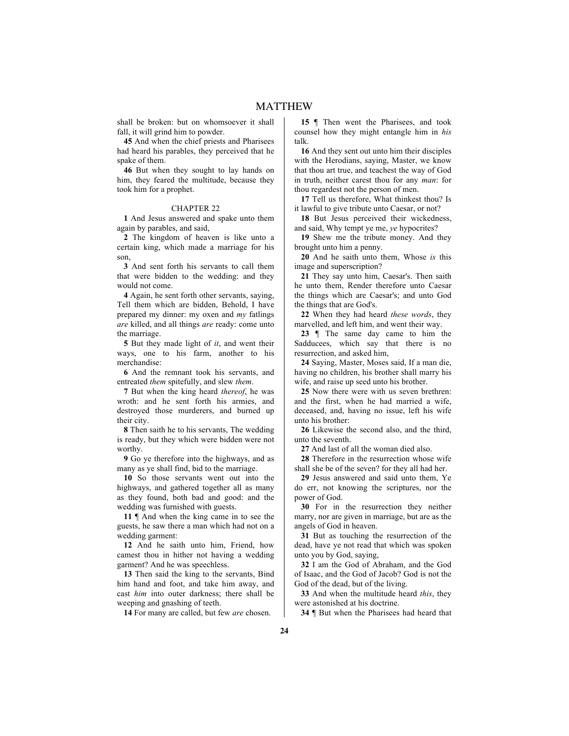shall be broken: but on whomsoever it shall fall, it will grind him to powder.

**45** And when the chief priests and Pharisees had heard his parables, they perceived that he spake of them.

**46** But when they sought to lay hands on him, they feared the multitude, because they took him for a prophet.

### CHAPTER 22

**1** And Jesus answered and spake unto them again by parables, and said,

**2** The kingdom of heaven is like unto a certain king, which made a marriage for his son,

**3** And sent forth his servants to call them that were bidden to the wedding: and they would not come.

**4** Again, he sent forth other servants, saying, Tell them which are bidden, Behold, I have prepared my dinner: my oxen and *my* fatlings *are* killed, and all things *are* ready: come unto the marriage.

**5** But they made light of *it*, and went their ways, one to his farm, another to his merchandise:

**6** And the remnant took his servants, and entreated *them* spitefully, and slew *them*.

**7** But when the king heard *thereof*, he was wroth: and he sent forth his armies, and destroyed those murderers, and burned up their city.

**8** Then saith he to his servants, The wedding is ready, but they which were bidden were not worthy.

**9** Go ye therefore into the highways, and as many as ye shall find, bid to the marriage.

**10** So those servants went out into the highways, and gathered together all as many as they found, both bad and good: and the wedding was furnished with guests.

**11** ¶ And when the king came in to see the guests, he saw there a man which had not on a wedding garment:

**12** And he saith unto him, Friend, how camest thou in hither not having a wedding garment? And he was speechless.

**13** Then said the king to the servants, Bind him hand and foot, and take him away, and cast *him* into outer darkness; there shall be weeping and gnashing of teeth.

**14** For many are called, but few *are* chosen.

**15** ¶ Then went the Pharisees, and took counsel how they might entangle him in *his* talk.

**16** And they sent out unto him their disciples with the Herodians, saying, Master, we know that thou art true, and teachest the way of God in truth, neither carest thou for any *man*: for thou regardest not the person of men.

**17** Tell us therefore, What thinkest thou? Is it lawful to give tribute unto Caesar, or not?

**18** But Jesus perceived their wickedness, and said, Why tempt ye me, *ye* hypocrites?

**19** Shew me the tribute money. And they brought unto him a penny.

**20** And he saith unto them, Whose *is* this image and superscription?

**21** They say unto him, Caesar's. Then saith he unto them, Render therefore unto Caesar the things which are Caesar's; and unto God the things that are God's.

**22** When they had heard *these words*, they marvelled, and left him, and went their way.

**23** ¶ The same day came to him the Sadducees, which say that there is no resurrection, and asked him,

**24** Saying, Master, Moses said, If a man die, having no children, his brother shall marry his wife, and raise up seed unto his brother.

**25** Now there were with us seven brethren: and the first, when he had married a wife, deceased, and, having no issue, left his wife unto his brother:

**26** Likewise the second also, and the third, unto the seventh.

**27** And last of all the woman died also.

**28** Therefore in the resurrection whose wife shall she be of the seven? for they all had her.

**29** Jesus answered and said unto them, Ye do err, not knowing the scriptures, nor the power of God.

**30** For in the resurrection they neither marry, nor are given in marriage, but are as the angels of God in heaven.

**31** But as touching the resurrection of the dead, have ye not read that which was spoken unto you by God, saying,

**32** I am the God of Abraham, and the God of Isaac, and the God of Jacob? God is not the God of the dead, but of the living.

**33** And when the multitude heard *this*, they were astonished at his doctrine.

**34** ¶ But when the Pharisees had heard that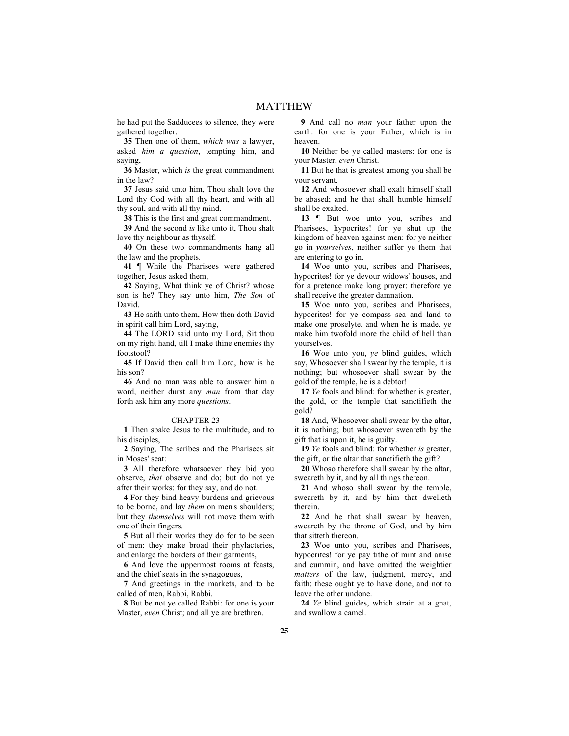he had put the Sadducees to silence, they were gathered together.

**35** Then one of them, *which was* a lawyer, asked *him a question*, tempting him, and saying,

**36** Master, which *is* the great commandment in the law?

**37** Jesus said unto him, Thou shalt love the Lord thy God with all thy heart, and with all thy soul, and with all thy mind.

**38** This is the first and great commandment.

**39** And the second *is* like unto it, Thou shalt love thy neighbour as thyself.

**40** On these two commandments hang all the law and the prophets.

**41** ¶ While the Pharisees were gathered together, Jesus asked them,

**42** Saying, What think ye of Christ? whose son is he? They say unto him, *The Son* of David.

**43** He saith unto them, How then doth David in spirit call him Lord, saying,

**44** The LORD said unto my Lord, Sit thou on my right hand, till I make thine enemies thy footstool?

**45** If David then call him Lord, how is he his son?

**46** And no man was able to answer him a word, neither durst any *man* from that day forth ask him any more *questions*.

# CHAPTER 23

**1** Then spake Jesus to the multitude, and to his disciples,

**2** Saying, The scribes and the Pharisees sit in Moses' seat:

**3** All therefore whatsoever they bid you observe, *that* observe and do; but do not ye after their works: for they say, and do not.

**4** For they bind heavy burdens and grievous to be borne, and lay *them* on men's shoulders; but they *themselves* will not move them with one of their fingers.

**5** But all their works they do for to be seen of men: they make broad their phylacteries, and enlarge the borders of their garments,

**6** And love the uppermost rooms at feasts, and the chief seats in the synagogues,

**7** And greetings in the markets, and to be called of men, Rabbi, Rabbi.

**8** But be not ye called Rabbi: for one is your Master, *even* Christ; and all ye are brethren.

**9** And call no *man* your father upon the earth: for one is your Father, which is in heaven.

**10** Neither be ye called masters: for one is your Master, *even* Christ.

**11** But he that is greatest among you shall be your servant.

**12** And whosoever shall exalt himself shall be abased; and he that shall humble himself shall be exalted.

13 **We But woe unto you**, scribes and Pharisees, hypocrites! for ye shut up the kingdom of heaven against men: for ye neither go in *yourselves*, neither suffer ye them that are entering to go in.

**14** Woe unto you, scribes and Pharisees, hypocrites! for ye devour widows' houses, and for a pretence make long prayer: therefore ye shall receive the greater damnation.

**15** Woe unto you, scribes and Pharisees, hypocrites! for ye compass sea and land to make one proselyte, and when he is made, ye make him twofold more the child of hell than yourselves.

**16** Woe unto you, *ye* blind guides, which say, Whosoever shall swear by the temple, it is nothing; but whosoever shall swear by the gold of the temple, he is a debtor!

**17** *Ye* fools and blind: for whether is greater, the gold, or the temple that sanctifieth the gold?

**18** And, Whosoever shall swear by the altar, it is nothing; but whosoever sweareth by the gift that is upon it, he is guilty.

**19** *Ye* fools and blind: for whether *is* greater, the gift, or the altar that sanctifieth the gift?

**20** Whoso therefore shall swear by the altar, sweareth by it, and by all things thereon.

**21** And whoso shall swear by the temple, sweareth by it, and by him that dwelleth therein.

**22** And he that shall swear by heaven, sweareth by the throne of God, and by him that sitteth thereon.

**23** Woe unto you, scribes and Pharisees, hypocrites! for ye pay tithe of mint and anise and cummin, and have omitted the weightier *matters* of the law, judgment, mercy, and faith: these ought ye to have done, and not to leave the other undone.

**24** *Ye* blind guides, which strain at a gnat, and swallow a camel.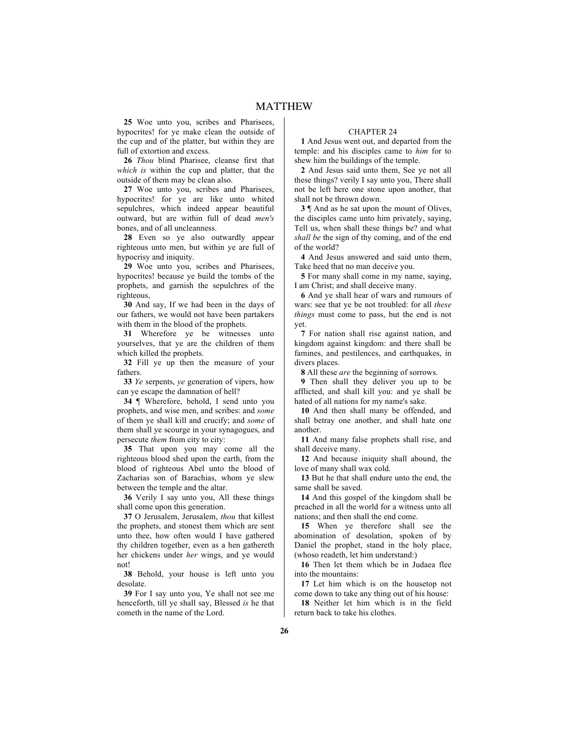**25** Woe unto you, scribes and Pharisees, hypocrites! for ye make clean the outside of the cup and of the platter, but within they are full of extortion and excess.

**26** *Thou* blind Pharisee, cleanse first that *which is* within the cup and platter, that the outside of them may be clean also.

**27** Woe unto you, scribes and Pharisees, hypocrites! for ye are like unto whited sepulchres, which indeed appear beautiful outward, but are within full of dead *men's* bones, and of all uncleanness.

**28** Even so ye also outwardly appear righteous unto men, but within ye are full of hypocrisy and iniquity.

**29** Woe unto you, scribes and Pharisees, hypocrites! because ye build the tombs of the prophets, and garnish the sepulchres of the righteous,

**30** And say, If we had been in the days of our fathers, we would not have been partakers with them in the blood of the prophets.

**31** Wherefore ye be witnesses unto yourselves, that ye are the children of them which killed the prophets.

**32** Fill ye up then the measure of your fathers.

**33** *Ye* serpents, *ye* generation of vipers, how can ye escape the damnation of hell?

**34** ¶ Wherefore, behold, I send unto you prophets, and wise men, and scribes: and *some* of them ye shall kill and crucify; and *some* of them shall ye scourge in your synagogues, and persecute *them* from city to city:

**35** That upon you may come all the righteous blood shed upon the earth, from the blood of righteous Abel unto the blood of Zacharias son of Barachias, whom ye slew between the temple and the altar.

**36** Verily I say unto you, All these things shall come upon this generation.

**37** O Jerusalem, Jerusalem, *thou* that killest the prophets, and stonest them which are sent unto thee, how often would I have gathered thy children together, even as a hen gathereth her chickens under *her* wings, and ye would not!

**38** Behold, your house is left unto you desolate.

**39** For I say unto you, Ye shall not see me henceforth, till ye shall say, Blessed *is* he that cometh in the name of the Lord.

### CHAPTER 24

**1** And Jesus went out, and departed from the temple: and his disciples came to *him* for to shew him the buildings of the temple.

**2** And Jesus said unto them, See ye not all these things? verily I say unto you, There shall not be left here one stone upon another, that shall not be thrown down.

**3**  $\blacksquare$  And as he sat upon the mount of Olives, the disciples came unto him privately, saying, Tell us, when shall these things be? and what *shall be* the sign of thy coming, and of the end of the world?

**4** And Jesus answered and said unto them, Take heed that no man deceive you.

**5** For many shall come in my name, saying, I am Christ; and shall deceive many.

**6** And ye shall hear of wars and rumours of wars: see that ye be not troubled: for all *these things* must come to pass, but the end is not yet.

**7** For nation shall rise against nation, and kingdom against kingdom: and there shall be famines, and pestilences, and earthquakes, in divers places.

**8** All these *are* the beginning of sorrows.

**9** Then shall they deliver you up to be afflicted, and shall kill you: and ye shall be hated of all nations for my name's sake.

**10** And then shall many be offended, and shall betray one another, and shall hate one another.

**11** And many false prophets shall rise, and shall deceive many.

**12** And because iniquity shall abound, the love of many shall wax cold.

**13** But he that shall endure unto the end, the same shall be saved.

**14** And this gospel of the kingdom shall be preached in all the world for a witness unto all nations; and then shall the end come.

**15** When ye therefore shall see the abomination of desolation, spoken of by Daniel the prophet, stand in the holy place, (whoso readeth, let him understand:)

**16** Then let them which be in Judaea flee into the mountains:

**17** Let him which is on the housetop not come down to take any thing out of his house:

**18** Neither let him which is in the field return back to take his clothes.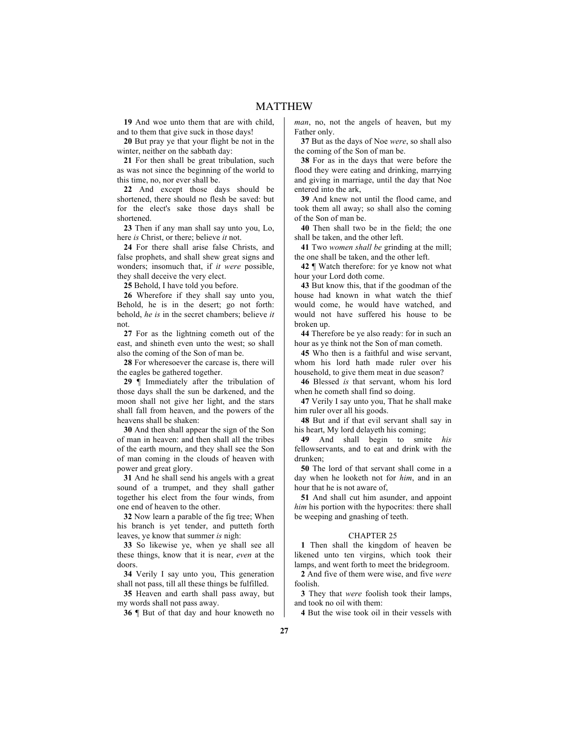**19** And woe unto them that are with child, and to them that give suck in those days!

**20** But pray ye that your flight be not in the winter, neither on the sabbath day:

**21** For then shall be great tribulation, such as was not since the beginning of the world to this time, no, nor ever shall be.

**22** And except those days should be shortened, there should no flesh be saved: but for the elect's sake those days shall be shortened.

**23** Then if any man shall say unto you, Lo, here *is* Christ, or there; believe *it* not.

**24** For there shall arise false Christs, and false prophets, and shall shew great signs and wonders; insomuch that, if *it were* possible, they shall deceive the very elect.

**25** Behold, I have told you before.

**26** Wherefore if they shall say unto you, Behold, he is in the desert; go not forth: behold, *he is* in the secret chambers; believe *it* not.

**27** For as the lightning cometh out of the east, and shineth even unto the west; so shall also the coming of the Son of man be.

**28** For wheresoever the carcase is, there will the eagles be gathered together.

**29** ¶ Immediately after the tribulation of those days shall the sun be darkened, and the moon shall not give her light, and the stars shall fall from heaven, and the powers of the heavens shall be shaken:

**30** And then shall appear the sign of the Son of man in heaven: and then shall all the tribes of the earth mourn, and they shall see the Son of man coming in the clouds of heaven with power and great glory.

**31** And he shall send his angels with a great sound of a trumpet, and they shall gather together his elect from the four winds, from one end of heaven to the other.

**32** Now learn a parable of the fig tree; When his branch is yet tender, and putteth forth leaves, ye know that summer *is* nigh:

**33** So likewise ye, when ye shall see all these things, know that it is near, *even* at the doors.

**34** Verily I say unto you, This generation shall not pass, till all these things be fulfilled.

**35** Heaven and earth shall pass away, but my words shall not pass away.

**36** ¶ But of that day and hour knoweth no

*man*, no, not the angels of heaven, but my Father only.

**37** But as the days of Noe *were*, so shall also the coming of the Son of man be.

**38** For as in the days that were before the flood they were eating and drinking, marrying and giving in marriage, until the day that Noe entered into the ark,

**39** And knew not until the flood came, and took them all away; so shall also the coming of the Son of man be.

**40** Then shall two be in the field; the one shall be taken, and the other left.

**41** Two *women shall be* grinding at the mill; the one shall be taken, and the other left.

**42** ¶ Watch therefore: for ye know not what hour your Lord doth come.

**43** But know this, that if the goodman of the house had known in what watch the thief would come, he would have watched, and would not have suffered his house to be broken up.

**44** Therefore be ye also ready: for in such an hour as ye think not the Son of man cometh.

**45** Who then is a faithful and wise servant, whom his lord hath made ruler over his household, to give them meat in due season?

**46** Blessed *is* that servant, whom his lord when he cometh shall find so doing.

**47** Verily I say unto you, That he shall make him ruler over all his goods.

**48** But and if that evil servant shall say in his heart, My lord delayeth his coming;

**49** And shall begin to smite *his* fellowservants, and to eat and drink with the drunken;

**50** The lord of that servant shall come in a day when he looketh not for *him*, and in an hour that he is not aware of,

**51** And shall cut him asunder, and appoint *him* his portion with the hypocrites: there shall be weeping and gnashing of teeth.

### CHAPTER 25

**1** Then shall the kingdom of heaven be likened unto ten virgins, which took their lamps, and went forth to meet the bridegroom.

**2** And five of them were wise, and five *were* foolish.

**3** They that *were* foolish took their lamps, and took no oil with them:

**4** But the wise took oil in their vessels with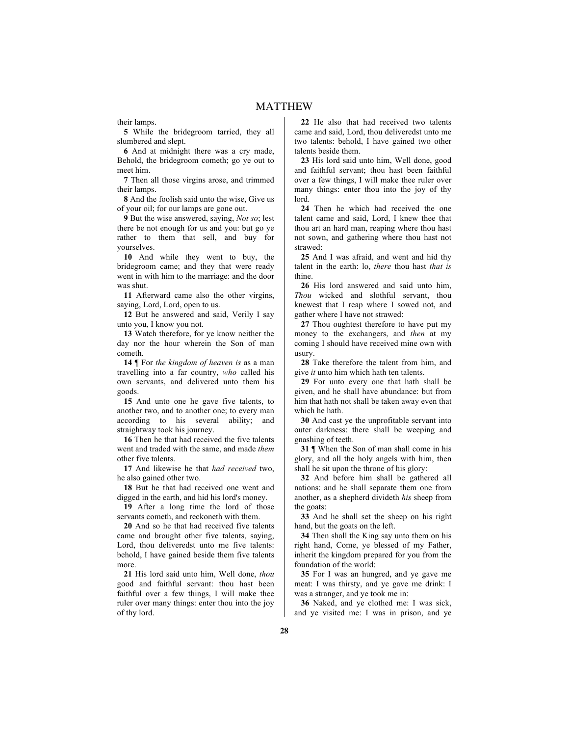their lamps.

**5** While the bridegroom tarried, they all slumbered and slept.

**6** And at midnight there was a cry made, Behold, the bridegroom cometh; go ye out to meet him.

**7** Then all those virgins arose, and trimmed their lamps.

**8** And the foolish said unto the wise, Give us of your oil; for our lamps are gone out.

**9** But the wise answered, saying, *Not so*; lest there be not enough for us and you: but go ye rather to them that sell, and buy for yourselves.

**10** And while they went to buy, the bridegroom came; and they that were ready went in with him to the marriage: and the door was shut.

**11** Afterward came also the other virgins, saying, Lord, Lord, open to us.

**12** But he answered and said, Verily I say unto you, I know you not.

**13** Watch therefore, for ye know neither the day nor the hour wherein the Son of man cometh.

**14** ¶ For *the kingdom of heaven is* as a man travelling into a far country, *who* called his own servants, and delivered unto them his goods.

**15** And unto one he gave five talents, to another two, and to another one; to every man according to his several ability; and straightway took his journey.

**16** Then he that had received the five talents went and traded with the same, and made *them* other five talents.

**17** And likewise he that *had received* two, he also gained other two.

**18** But he that had received one went and digged in the earth, and hid his lord's money.

**19** After a long time the lord of those servants cometh, and reckoneth with them.

**20** And so he that had received five talents came and brought other five talents, saying, Lord, thou deliveredst unto me five talents: behold, I have gained beside them five talents more.

**21** His lord said unto him, Well done, *thou* good and faithful servant: thou hast been faithful over a few things, I will make thee ruler over many things: enter thou into the joy of thy lord.

**22** He also that had received two talents came and said, Lord, thou deliveredst unto me two talents: behold, I have gained two other talents beside them.

**23** His lord said unto him, Well done, good and faithful servant; thou hast been faithful over a few things, I will make thee ruler over many things: enter thou into the joy of thy lord.

**24** Then he which had received the one talent came and said, Lord, I knew thee that thou art an hard man, reaping where thou hast not sown, and gathering where thou hast not strawed:

**25** And I was afraid, and went and hid thy talent in the earth: lo, *there* thou hast *that is* thine.

**26** His lord answered and said unto him, *Thou* wicked and slothful servant, thou knewest that I reap where I sowed not, and gather where I have not strawed:

**27** Thou oughtest therefore to have put my money to the exchangers, and *then* at my coming I should have received mine own with usury.

**28** Take therefore the talent from him, and give *it* unto him which hath ten talents.

**29** For unto every one that hath shall be given, and he shall have abundance: but from him that hath not shall be taken away even that which he hath.

**30** And cast ye the unprofitable servant into outer darkness: there shall be weeping and gnashing of teeth.

**31** ¶ When the Son of man shall come in his glory, and all the holy angels with him, then shall he sit upon the throne of his glory:

**32** And before him shall be gathered all nations: and he shall separate them one from another, as a shepherd divideth *his* sheep from the goats:

**33** And he shall set the sheep on his right hand, but the goats on the left.

**34** Then shall the King say unto them on his right hand, Come, ye blessed of my Father, inherit the kingdom prepared for you from the foundation of the world:

**35** For I was an hungred, and ye gave me meat: I was thirsty, and ye gave me drink: I was a stranger, and ye took me in:

**36** Naked, and ye clothed me: I was sick, and ye visited me: I was in prison, and ye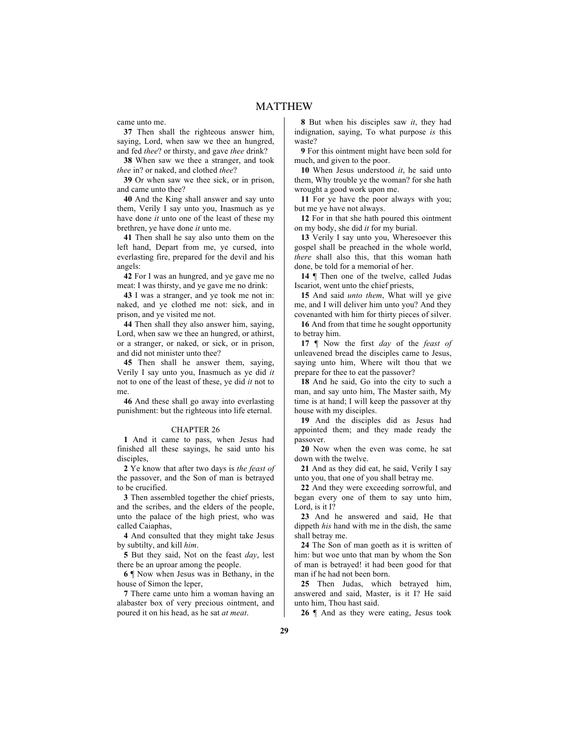came unto me.

**37** Then shall the righteous answer him, saying, Lord, when saw we thee an hungred, and fed *thee*? or thirsty, and gave *thee* drink?

**38** When saw we thee a stranger, and took *thee* in? or naked, and clothed *thee*?

**39** Or when saw we thee sick, or in prison, and came unto thee?

**40** And the King shall answer and say unto them, Verily I say unto you, Inasmuch as ye have done *it* unto one of the least of these my brethren, ye have done *it* unto me.

**41** Then shall he say also unto them on the left hand, Depart from me, ye cursed, into everlasting fire, prepared for the devil and his angels:

**42** For I was an hungred, and ye gave me no meat: I was thirsty, and ye gave me no drink:

**43** I was a stranger, and ye took me not in: naked, and ye clothed me not: sick, and in prison, and ye visited me not.

**44** Then shall they also answer him, saying, Lord, when saw we thee an hungred, or athirst, or a stranger, or naked, or sick, or in prison, and did not minister unto thee?

**45** Then shall he answer them, saying, Verily I say unto you, Inasmuch as ye did *it* not to one of the least of these, ye did *it* not to me.

**46** And these shall go away into everlasting punishment: but the righteous into life eternal.

### CHAPTER 26

**1** And it came to pass, when Jesus had finished all these sayings, he said unto his disciples,

**2** Ye know that after two days is *the feast of* the passover, and the Son of man is betrayed to be crucified.

**3** Then assembled together the chief priests, and the scribes, and the elders of the people, unto the palace of the high priest, who was called Caiaphas,

**4** And consulted that they might take Jesus by subtilty, and kill *him*.

**5** But they said, Not on the feast *day*, lest there be an uproar among the people.

**6** ¶ Now when Jesus was in Bethany, in the house of Simon the leper,

**7** There came unto him a woman having an alabaster box of very precious ointment, and poured it on his head, as he sat *at meat*.

**8** But when his disciples saw *it*, they had indignation, saying, To what purpose *is* this waste?

**9** For this ointment might have been sold for much, and given to the poor.

**10** When Jesus understood *it*, he said unto them, Why trouble ye the woman? for she hath wrought a good work upon me.

**11** For ye have the poor always with you; but me ye have not always.

**12** For in that she hath poured this ointment on my body, she did *it* for my burial.

**13** Verily I say unto you, Wheresoever this gospel shall be preached in the whole world, *there* shall also this, that this woman hath done, be told for a memorial of her.

**14** ¶ Then one of the twelve, called Judas Iscariot, went unto the chief priests,

**15** And said *unto them*, What will ye give me, and I will deliver him unto you? And they covenanted with him for thirty pieces of silver.

**16** And from that time he sought opportunity to betray him.

**17** ¶ Now the first *day* of the *feast of* unleavened bread the disciples came to Jesus, saying unto him, Where wilt thou that we prepare for thee to eat the passover?

**18** And he said, Go into the city to such a man, and say unto him, The Master saith, My time is at hand; I will keep the passover at thy house with my disciples.

**19** And the disciples did as Jesus had appointed them; and they made ready the passover.

**20** Now when the even was come, he sat down with the twelve.

**21** And as they did eat, he said, Verily I say unto you, that one of you shall betray me.

**22** And they were exceeding sorrowful, and began every one of them to say unto him, Lord, is it I?

**23** And he answered and said, He that dippeth *his* hand with me in the dish, the same shall betray me.

**24** The Son of man goeth as it is written of him: but woe unto that man by whom the Son of man is betrayed! it had been good for that man if he had not been born.

**25** Then Judas, which betrayed him, answered and said, Master, is it I? He said unto him, Thou hast said.

**26** ¶ And as they were eating, Jesus took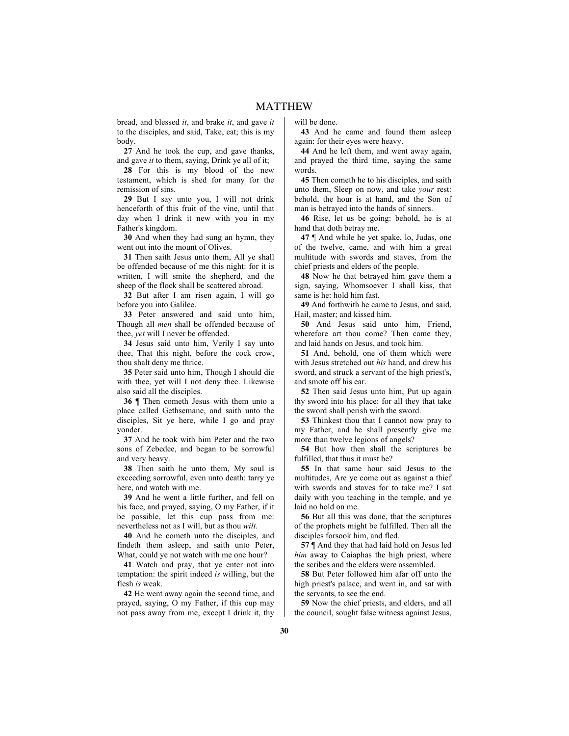bread, and blessed *it*, and brake *it*, and gave *it* to the disciples, and said, Take, eat; this is my body.

**27** And he took the cup, and gave thanks, and gave *it* to them, saying, Drink ye all of it;

**28** For this is my blood of the new testament, which is shed for many for the remission of sins.

**29** But I say unto you, I will not drink henceforth of this fruit of the vine, until that day when I drink it new with you in my Father's kingdom.

**30** And when they had sung an hymn, they went out into the mount of Olives.

**31** Then saith Jesus unto them, All ye shall be offended because of me this night: for it is written, I will smite the shepherd, and the sheep of the flock shall be scattered abroad.

**32** But after I am risen again, I will go before you into Galilee.

**33** Peter answered and said unto him, Though all *men* shall be offended because of thee, *yet* will I never be offended.

**34** Jesus said unto him, Verily I say unto thee, That this night, before the cock crow, thou shalt deny me thrice.

**35** Peter said unto him, Though I should die with thee, yet will I not deny thee. Likewise also said all the disciples.

**36** ¶ Then cometh Jesus with them unto a place called Gethsemane, and saith unto the disciples, Sit ye here, while I go and pray yonder.

**37** And he took with him Peter and the two sons of Zebedee, and began to be sorrowful and very heavy.

**38** Then saith he unto them, My soul is exceeding sorrowful, even unto death: tarry ye here, and watch with me.

**39** And he went a little further, and fell on his face, and prayed, saying, O my Father, if it be possible, let this cup pass from me: nevertheless not as I will, but as thou *wilt*.

**40** And he cometh unto the disciples, and findeth them asleep, and saith unto Peter, What, could ve not watch with me one hour?

**41** Watch and pray, that ye enter not into temptation: the spirit indeed *is* willing, but the flesh *is* weak.

**42** He went away again the second time, and prayed, saying, O my Father, if this cup may not pass away from me, except I drink it, thy will be done.

**43** And he came and found them asleep again: for their eyes were heavy.

**44** And he left them, and went away again, and prayed the third time, saying the same words.

**45** Then cometh he to his disciples, and saith unto them, Sleep on now, and take *your* rest: behold, the hour is at hand, and the Son of man is betrayed into the hands of sinners.

**46** Rise, let us be going: behold, he is at hand that doth betray me.

**47** ¶ And while he yet spake, lo, Judas, one of the twelve, came, and with him a great multitude with swords and staves, from the chief priests and elders of the people.

**48** Now he that betrayed him gave them a sign, saying, Whomsoever I shall kiss, that same is he: hold him fast.

**49** And forthwith he came to Jesus, and said, Hail, master; and kissed him.

**50** And Jesus said unto him, Friend, wherefore art thou come? Then came they, and laid hands on Jesus, and took him.

**51** And, behold, one of them which were with Jesus stretched out *his* hand, and drew his sword, and struck a servant of the high priest's, and smote off his ear.

**52** Then said Jesus unto him, Put up again thy sword into his place: for all they that take the sword shall perish with the sword.

53 Thinkest thou that I cannot now pray to my Father, and he shall presently give me more than twelve legions of angels?

**54** But how then shall the scriptures be fulfilled, that thus it must be?

**55** In that same hour said Jesus to the multitudes, Are ye come out as against a thief with swords and staves for to take me? I sat daily with you teaching in the temple, and ye laid no hold on me.

**56** But all this was done, that the scriptures of the prophets might be fulfilled. Then all the disciples forsook him, and fled.

**57** ¶ And they that had laid hold on Jesus led *him* away to Caiaphas the high priest, where the scribes and the elders were assembled.

**58** But Peter followed him afar off unto the high priest's palace, and went in, and sat with the servants, to see the end.

**59** Now the chief priests, and elders, and all the council, sought false witness against Jesus,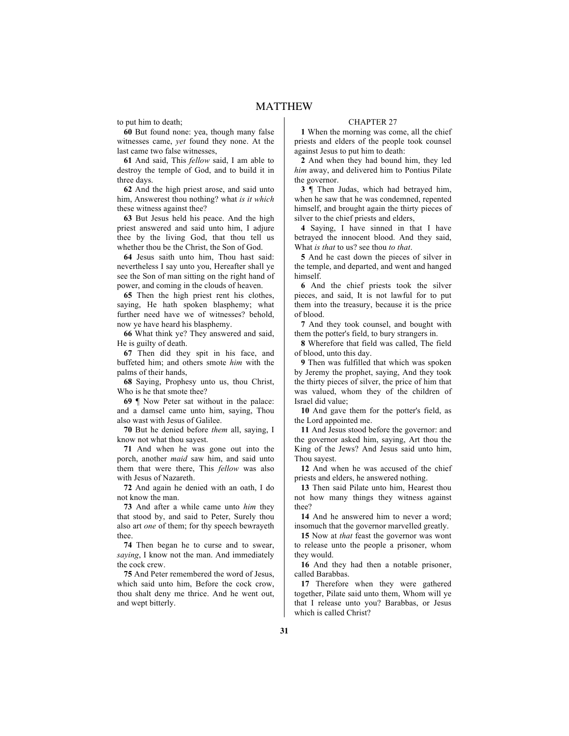to put him to death;

**60** But found none: yea, though many false witnesses came, *yet* found they none. At the last came two false witnesses,

**61** And said, This *fellow* said, I am able to destroy the temple of God, and to build it in three days.

**62** And the high priest arose, and said unto him, Answerest thou nothing? what *is it which* these witness against thee?

**63** But Jesus held his peace. And the high priest answered and said unto him, I adjure thee by the living God, that thou tell us whether thou be the Christ, the Son of God.

**64** Jesus saith unto him, Thou hast said: nevertheless I say unto you, Hereafter shall ye see the Son of man sitting on the right hand of power, and coming in the clouds of heaven.

**65** Then the high priest rent his clothes, saying, He hath spoken blasphemy; what further need have we of witnesses? behold, now ye have heard his blasphemy.

**66** What think ye? They answered and said, He is guilty of death.

**67** Then did they spit in his face, and buffeted him; and others smote *him* with the palms of their hands,

**68** Saying, Prophesy unto us, thou Christ, Who is he that smote thee?

**69** ¶ Now Peter sat without in the palace: and a damsel came unto him, saying, Thou also wast with Jesus of Galilee.

**70** But he denied before *them* all, saying, I know not what thou sayest.

**71** And when he was gone out into the porch, another *maid* saw him, and said unto them that were there, This *fellow* was also with Jesus of Nazareth.

**72** And again he denied with an oath, I do not know the man.

**73** And after a while came unto *him* they that stood by, and said to Peter, Surely thou also art *one* of them; for thy speech bewrayeth thee.

**74** Then began he to curse and to swear, *saying*, I know not the man. And immediately the cock crew.

**75** And Peter remembered the word of Jesus, which said unto him, Before the cock crow, thou shalt deny me thrice. And he went out, and wept bitterly.

#### CHAPTER 27

**1** When the morning was come, all the chief priests and elders of the people took counsel against Jesus to put him to death:

**2** And when they had bound him, they led *him* away, and delivered him to Pontius Pilate the governor.

**3** ¶ Then Judas, which had betrayed him, when he saw that he was condemned, repented himself, and brought again the thirty pieces of silver to the chief priests and elders,

**4** Saying, I have sinned in that I have betrayed the innocent blood. And they said, What *is that* to us? see thou *to that*.

**5** And he cast down the pieces of silver in the temple, and departed, and went and hanged himself.

**6** And the chief priests took the silver pieces, and said, It is not lawful for to put them into the treasury, because it is the price of blood.

**7** And they took counsel, and bought with them the potter's field, to bury strangers in.

**8** Wherefore that field was called, The field of blood, unto this day.

**9** Then was fulfilled that which was spoken by Jeremy the prophet, saying, And they took the thirty pieces of silver, the price of him that was valued, whom they of the children of Israel did value;

**10** And gave them for the potter's field, as the Lord appointed me.

**11** And Jesus stood before the governor: and the governor asked him, saying, Art thou the King of the Jews? And Jesus said unto him, Thou sayest.

**12** And when he was accused of the chief priests and elders, he answered nothing.

**13** Then said Pilate unto him, Hearest thou not how many things they witness against thee?

**14** And he answered him to never a word; insomuch that the governor marvelled greatly.

**15** Now at *that* feast the governor was wont to release unto the people a prisoner, whom they would.

**16** And they had then a notable prisoner, called Barabbas.

**17** Therefore when they were gathered together, Pilate said unto them, Whom will ye that I release unto you? Barabbas, or Jesus which is called Christ?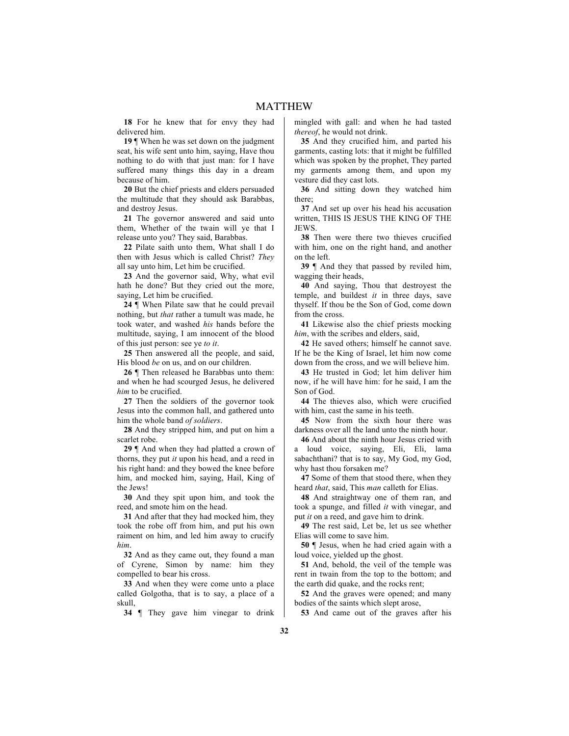**18** For he knew that for envy they had delivered him.

**19** ¶ When he was set down on the judgment seat, his wife sent unto him, saying, Have thou nothing to do with that just man: for I have suffered many things this day in a dream because of him.

**20** But the chief priests and elders persuaded the multitude that they should ask Barabbas, and destroy Jesus.

**21** The governor answered and said unto them, Whether of the twain will ye that I release unto you? They said, Barabbas.

**22** Pilate saith unto them, What shall I do then with Jesus which is called Christ? *They* all say unto him, Let him be crucified.

**23** And the governor said, Why, what evil hath he done? But they cried out the more, saying, Let him be crucified.

**24** ¶ When Pilate saw that he could prevail nothing, but *that* rather a tumult was made, he took water, and washed *his* hands before the multitude, saying, I am innocent of the blood of this just person: see ye *to it*.

**25** Then answered all the people, and said, His blood *be* on us, and on our children.

**26** ¶ Then released he Barabbas unto them: and when he had scourged Jesus, he delivered *him* to be crucified.

**27** Then the soldiers of the governor took Jesus into the common hall, and gathered unto him the whole band *of soldiers*.

**28** And they stripped him, and put on him a scarlet robe.

**29** ¶ And when they had platted a crown of thorns, they put *it* upon his head, and a reed in his right hand: and they bowed the knee before him, and mocked him, saying, Hail, King of the Jews!

**30** And they spit upon him, and took the reed, and smote him on the head.

**31** And after that they had mocked him, they took the robe off from him, and put his own raiment on him, and led him away to crucify *him*.

**32** And as they came out, they found a man of Cyrene, Simon by name: him they compelled to bear his cross.

**33** And when they were come unto a place called Golgotha, that is to say, a place of a skull,

**34** ¶ They gave him vinegar to drink

mingled with gall: and when he had tasted *thereof*, he would not drink.

**35** And they crucified him, and parted his garments, casting lots: that it might be fulfilled which was spoken by the prophet, They parted my garments among them, and upon my vesture did they cast lots.

**36** And sitting down they watched him there;

**37** And set up over his head his accusation written, THIS IS JESUS THE KING OF THE JEWS.

**38** Then were there two thieves crucified with him, one on the right hand, and another on the left.

**39** ¶ And they that passed by reviled him, wagging their heads,

**40** And saying, Thou that destroyest the temple, and buildest *it* in three days, save thyself. If thou be the Son of God, come down from the cross.

**41** Likewise also the chief priests mocking *him*, with the scribes and elders, said,

**42** He saved others; himself he cannot save. If he be the King of Israel, let him now come down from the cross, and we will believe him.

**43** He trusted in God; let him deliver him now, if he will have him: for he said, I am the Son of God.

**44** The thieves also, which were crucified with him, cast the same in his teeth.

**45** Now from the sixth hour there was darkness over all the land unto the ninth hour.

**46** And about the ninth hour Jesus cried with a loud voice, saying, Eli, Eli, lama sabachthani? that is to say, My God, my God, why hast thou forsaken me?

**47** Some of them that stood there, when they heard *that*, said, This *man* calleth for Elias.

**48** And straightway one of them ran, and took a spunge, and filled *it* with vinegar, and put *it* on a reed, and gave him to drink.

**49** The rest said, Let be, let us see whether Elias will come to save him.

**50** ¶ Jesus, when he had cried again with a loud voice, yielded up the ghost.

**51** And, behold, the veil of the temple was rent in twain from the top to the bottom; and the earth did quake, and the rocks rent;

**52** And the graves were opened; and many bodies of the saints which slept arose,

**53** And came out of the graves after his